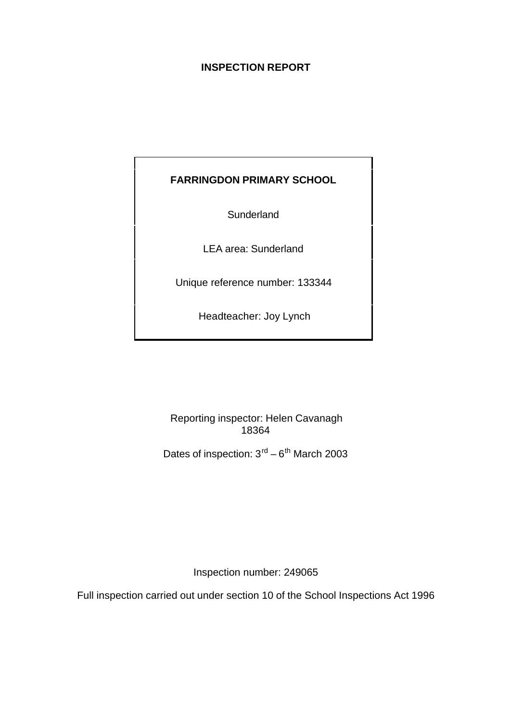# **INSPECTION REPORT**

# **FARRINGDON PRIMARY SCHOOL**

**Sunderland** 

LEA area: Sunderland

Unique reference number: 133344

Headteacher: Joy Lynch

Reporting inspector: Helen Cavanagh 18364

Dates of inspection:  $3<sup>rd</sup> - 6<sup>th</sup>$  March 2003

Inspection number: 249065

Full inspection carried out under section 10 of the School Inspections Act 1996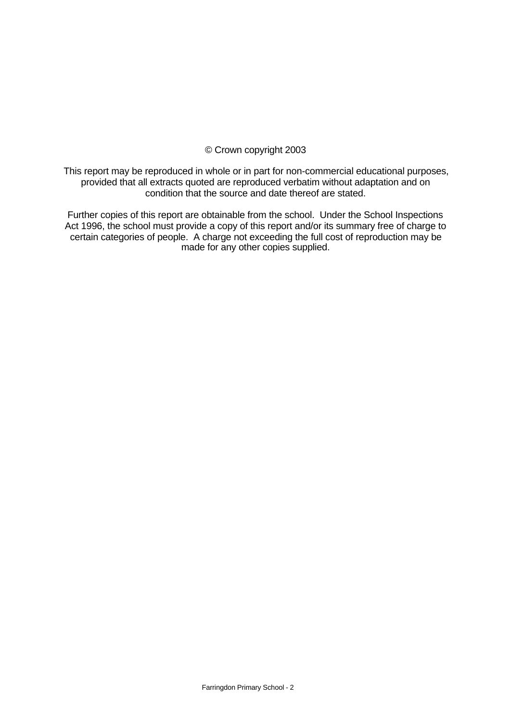### © Crown copyright 2003

This report may be reproduced in whole or in part for non-commercial educational purposes, provided that all extracts quoted are reproduced verbatim without adaptation and on condition that the source and date thereof are stated.

Further copies of this report are obtainable from the school. Under the School Inspections Act 1996, the school must provide a copy of this report and/or its summary free of charge to certain categories of people. A charge not exceeding the full cost of reproduction may be made for any other copies supplied.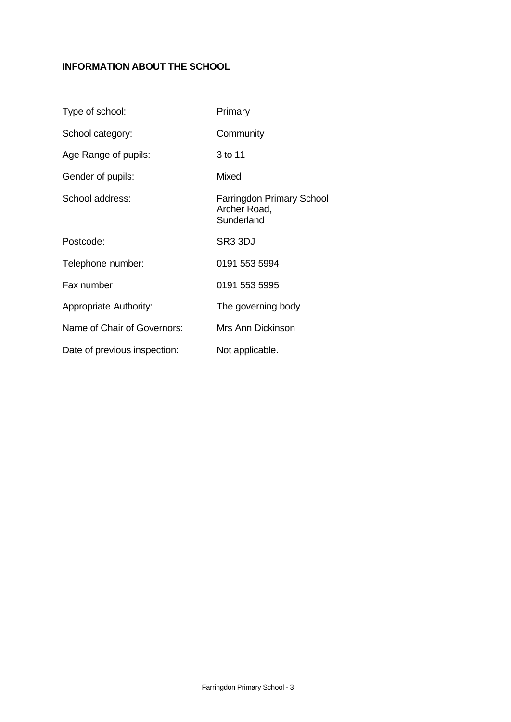# **INFORMATION ABOUT THE SCHOOL**

| Type of school:               | Primary                                                        |
|-------------------------------|----------------------------------------------------------------|
| School category:              | Community                                                      |
| Age Range of pupils:          | 3 to 11                                                        |
| Gender of pupils:             | Mixed                                                          |
| School address:               | <b>Farringdon Primary School</b><br>Archer Road,<br>Sunderland |
| Postcode:                     | SR <sub>3</sub> 3DJ                                            |
| Telephone number:             | 0191 553 5994                                                  |
| Fax number                    | 0191 553 5995                                                  |
| <b>Appropriate Authority:</b> | The governing body                                             |
| Name of Chair of Governors:   | Mrs Ann Dickinson                                              |
| Date of previous inspection:  | Not applicable.                                                |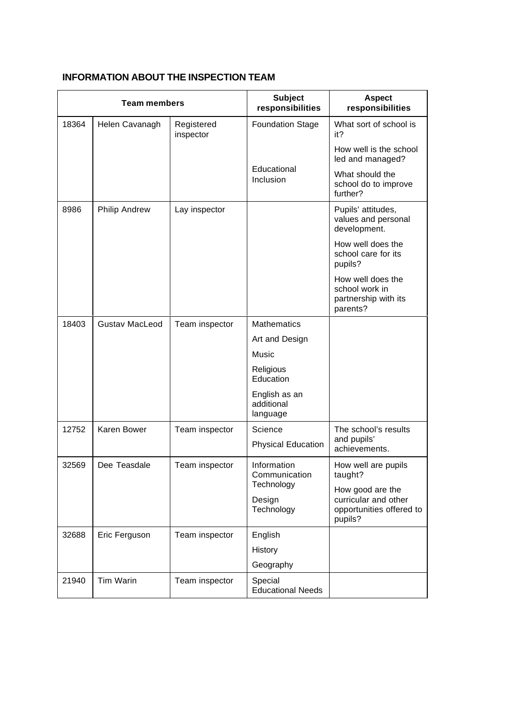|       | <b>Team members</b>   |                         | <b>Subject</b>                          | <b>Aspect</b>                                                           |
|-------|-----------------------|-------------------------|-----------------------------------------|-------------------------------------------------------------------------|
|       |                       | responsibilities        | responsibilities                        |                                                                         |
| 18364 | Helen Cavanagh        | Registered<br>inspector | <b>Foundation Stage</b>                 | What sort of school is<br>it?                                           |
|       |                       |                         |                                         | How well is the school<br>led and managed?                              |
|       |                       |                         | Educational<br>Inclusion                | What should the<br>school do to improve<br>further?                     |
| 8986  | <b>Philip Andrew</b>  | Lay inspector           |                                         | Pupils' attitudes,<br>values and personal<br>development.               |
|       |                       |                         |                                         | How well does the<br>school care for its<br>pupils?                     |
|       |                       |                         |                                         | How well does the<br>school work in<br>partnership with its<br>parents? |
| 18403 | <b>Gustav MacLeod</b> | Team inspector          | <b>Mathematics</b>                      |                                                                         |
|       |                       |                         | Art and Design                          |                                                                         |
|       |                       |                         | Music                                   |                                                                         |
|       |                       |                         | Religious<br>Education                  |                                                                         |
|       |                       |                         | English as an<br>additional<br>language |                                                                         |
| 12752 | Karen Bower           | Team inspector          | Science                                 | The school's results                                                    |
|       |                       |                         | <b>Physical Education</b>               | and pupils'<br>achievements.                                            |
| 32569 | Dee Teasdale          | Team inspector          | Information<br>Communication            | How well are pupils<br>taught?                                          |
|       |                       |                         | Technology                              | How good are the                                                        |
|       |                       |                         | Design<br>Technology                    | curricular and other<br>opportunities offered to<br>pupils?             |
| 32688 | Eric Ferguson         | Team inspector          | English                                 |                                                                         |
|       |                       |                         | History                                 |                                                                         |
|       |                       |                         | Geography                               |                                                                         |
| 21940 | Tim Warin             | Team inspector          | Special<br><b>Educational Needs</b>     |                                                                         |

# **INFORMATION ABOUT THE INSPECTION TEAM**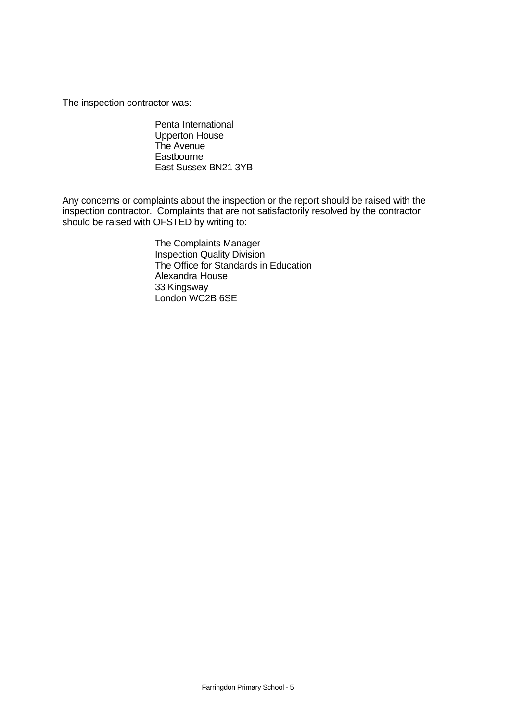The inspection contractor was:

Penta International Upperton House The Avenue **Eastbourne** East Sussex BN21 3YB

Any concerns or complaints about the inspection or the report should be raised with the inspection contractor. Complaints that are not satisfactorily resolved by the contractor should be raised with OFSTED by writing to:

> The Complaints Manager Inspection Quality Division The Office for Standards in Education Alexandra House 33 Kingsway London WC2B 6SE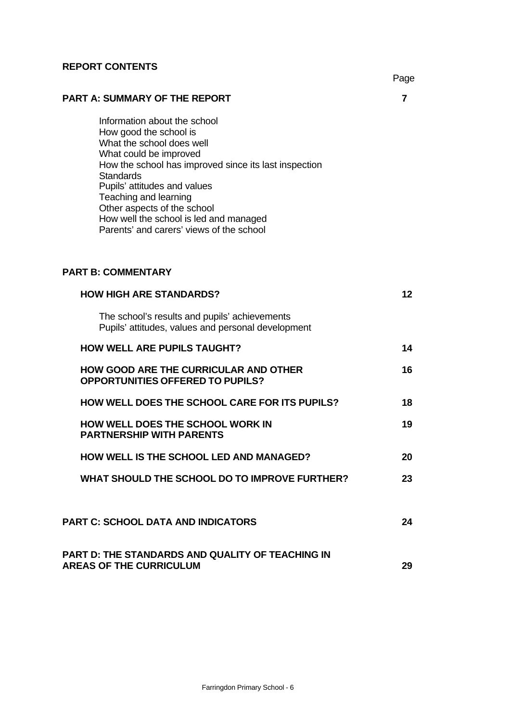## **REPORT CONTENTS**

|                                                                                                                                                                                                                                                                                                                                                                          | Page            |
|--------------------------------------------------------------------------------------------------------------------------------------------------------------------------------------------------------------------------------------------------------------------------------------------------------------------------------------------------------------------------|-----------------|
| <b>PART A: SUMMARY OF THE REPORT</b>                                                                                                                                                                                                                                                                                                                                     | 7               |
| Information about the school<br>How good the school is<br>What the school does well<br>What could be improved<br>How the school has improved since its last inspection<br><b>Standards</b><br>Pupils' attitudes and values<br>Teaching and learning<br>Other aspects of the school<br>How well the school is led and managed<br>Parents' and carers' views of the school |                 |
| <b>PART B: COMMENTARY</b>                                                                                                                                                                                                                                                                                                                                                |                 |
| <b>HOW HIGH ARE STANDARDS?</b>                                                                                                                                                                                                                                                                                                                                           | 12 <sup>°</sup> |
| The school's results and pupils' achievements<br>Pupils' attitudes, values and personal development                                                                                                                                                                                                                                                                      |                 |
| <b>HOW WELL ARE PUPILS TAUGHT?</b>                                                                                                                                                                                                                                                                                                                                       | 14              |
| <b>HOW GOOD ARE THE CURRICULAR AND OTHER</b><br><b>OPPORTUNITIES OFFERED TO PUPILS?</b>                                                                                                                                                                                                                                                                                  | 16              |
| HOW WELL DOES THE SCHOOL CARE FOR ITS PUPILS?                                                                                                                                                                                                                                                                                                                            | 18              |
| <b>HOW WELL DOES THE SCHOOL WORK IN</b><br><b>PARTNERSHIP WITH PARENTS</b>                                                                                                                                                                                                                                                                                               | 19              |
| <b>HOW WELL IS THE SCHOOL LED AND MANAGED?</b>                                                                                                                                                                                                                                                                                                                           | 20              |
| WHAT SHOULD THE SCHOOL DO TO IMPROVE FURTHER?                                                                                                                                                                                                                                                                                                                            | 23              |
| <b>PART C: SCHOOL DATA AND INDICATORS</b>                                                                                                                                                                                                                                                                                                                                | 24              |
| PART D: THE STANDARDS AND QUALITY OF TEACHING IN                                                                                                                                                                                                                                                                                                                         |                 |

AREAS OF THE CURRICULUM **29**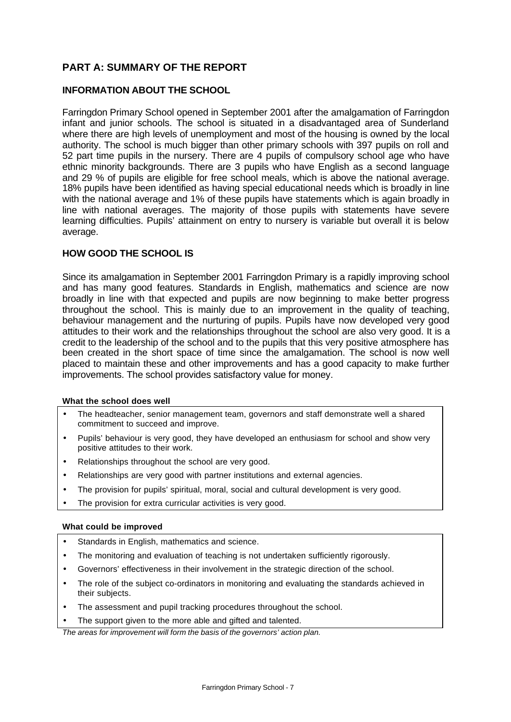# **PART A: SUMMARY OF THE REPORT**

### **INFORMATION ABOUT THE SCHOOL**

Farringdon Primary School opened in September 2001 after the amalgamation of Farringdon infant and junior schools. The school is situated in a disadvantaged area of Sunderland where there are high levels of unemployment and most of the housing is owned by the local authority. The school is much bigger than other primary schools with 397 pupils on roll and 52 part time pupils in the nursery. There are 4 pupils of compulsory school age who have ethnic minority backgrounds. There are 3 pupils who have English as a second language and 29 % of pupils are eligible for free school meals, which is above the national average. 18% pupils have been identified as having special educational needs which is broadly in line with the national average and 1% of these pupils have statements which is again broadly in line with national averages. The majority of those pupils with statements have severe learning difficulties. Pupils' attainment on entry to nursery is variable but overall it is below average.

### **HOW GOOD THE SCHOOL IS**

Since its amalgamation in September 2001 Farringdon Primary is a rapidly improving school and has many good features. Standards in English, mathematics and science are now broadly in line with that expected and pupils are now beginning to make better progress throughout the school. This is mainly due to an improvement in the quality of teaching, behaviour management and the nurturing of pupils. Pupils have now developed very good attitudes to their work and the relationships throughout the school are also very good. It is a credit to the leadership of the school and to the pupils that this very positive atmosphere has been created in the short space of time since the amalgamation. The school is now well placed to maintain these and other improvements and has a good capacity to make further improvements. The school provides satisfactory value for money.

### **What the school does well**

- The headteacher, senior management team, governors and staff demonstrate well a shared commitment to succeed and improve.
- Pupils' behaviour is very good, they have developed an enthusiasm for school and show very positive attitudes to their work.
- Relationships throughout the school are very good.
- Relationships are very good with partner institutions and external agencies.
- The provision for pupils' spiritual, moral, social and cultural development is very good.
- The provision for extra curricular activities is very good.

### **What could be improved**

- Standards in English, mathematics and science.
- The monitoring and evaluation of teaching is not undertaken sufficiently rigorously.
- Governors' effectiveness in their involvement in the strategic direction of the school.
- The role of the subject co-ordinators in monitoring and evaluating the standards achieved in their subjects.
- The assessment and pupil tracking procedures throughout the school.
- The support given to the more able and gifted and talented.

*The areas for improvement will form the basis of the governors' action plan.*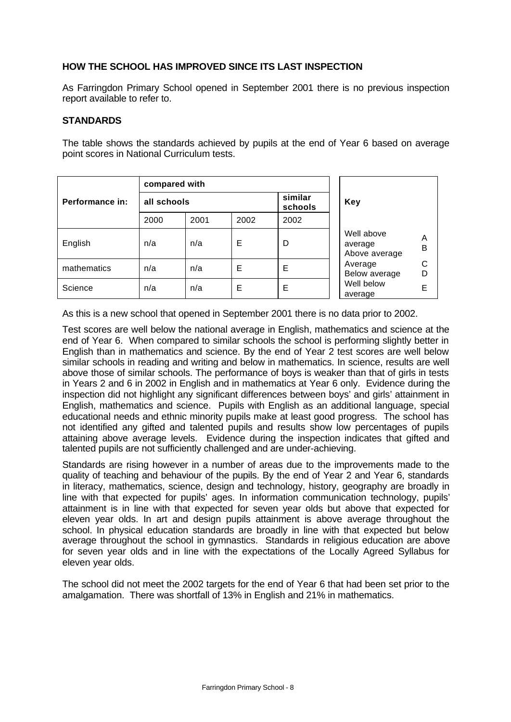## **HOW THE SCHOOL HAS IMPROVED SINCE ITS LAST INSPECTION**

As Farringdon Primary School opened in September 2001 there is no previous inspection report available to refer to.

### **STANDARDS**

The table shows the standards achieved by pupils at the end of Year 6 based on average point scores in National Curriculum tests.

|                 | compared with |      |      |                    |                                                  |  |  |
|-----------------|---------------|------|------|--------------------|--------------------------------------------------|--|--|
| Performance in: | all schools   |      |      | similar<br>schools | <b>Key</b>                                       |  |  |
|                 | 2000          | 2001 | 2002 | 2002               |                                                  |  |  |
| English         | n/a           | n/a  | Е    | D                  | Well above<br>A<br>average<br>B<br>Above average |  |  |
| mathematics     | n/a           | n/a  | Е    | Е                  | С<br>Average<br>D<br>Below average               |  |  |
| Science         | n/a           | n/a  | E    | Е                  | Well below<br>E<br>average                       |  |  |

As this is a new school that opened in September 2001 there is no data prior to 2002.

Test scores are well below the national average in English, mathematics and science at the end of Year 6. When compared to similar schools the school is performing slightly better in English than in mathematics and science. By the end of Year 2 test scores are well below similar schools in reading and writing and below in mathematics. In science, results are well above those of similar schools. The performance of boys is weaker than that of girls in tests in Years 2 and 6 in 2002 in English and in mathematics at Year 6 only. Evidence during the inspection did not highlight any significant differences between boys' and girls' attainment in English, mathematics and science. Pupils with English as an additional language, special educational needs and ethnic minority pupils make at least good progress. The school has not identified any gifted and talented pupils and results show low percentages of pupils attaining above average levels. Evidence during the inspection indicates that gifted and talented pupils are not sufficiently challenged and are under-achieving.

Standards are rising however in a number of areas due to the improvements made to the quality of teaching and behaviour of the pupils. By the end of Year 2 and Year 6, standards in literacy, mathematics, science, design and technology, history, geography are broadly in line with that expected for pupils' ages. In information communication technology, pupils' attainment is in line with that expected for seven year olds but above that expected for eleven year olds. In art and design pupils attainment is above average throughout the school. In physical education standards are broadly in line with that expected but below average throughout the school in gymnastics. Standards in religious education are above for seven year olds and in line with the expectations of the Locally Agreed Syllabus for eleven year olds.

The school did not meet the 2002 targets for the end of Year 6 that had been set prior to the amalgamation. There was shortfall of 13% in English and 21% in mathematics.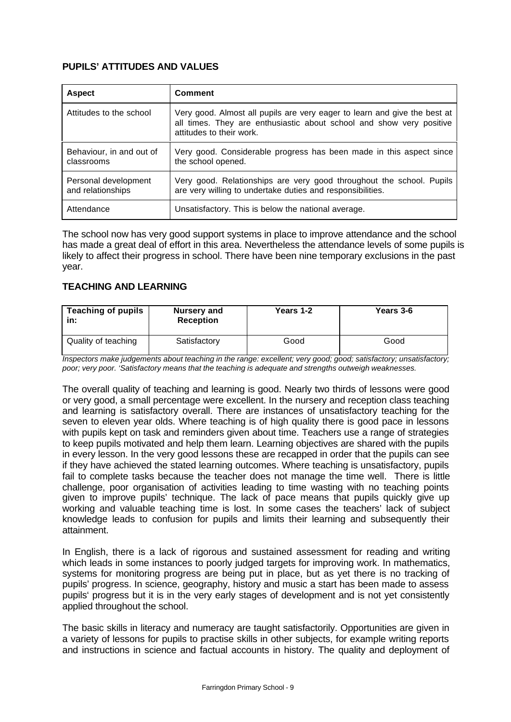# **PUPILS' ATTITUDES AND VALUES**

| <b>Aspect</b>                             | <b>Comment</b>                                                                                                                                                                |
|-------------------------------------------|-------------------------------------------------------------------------------------------------------------------------------------------------------------------------------|
| Attitudes to the school                   | Very good. Almost all pupils are very eager to learn and give the best at<br>all times. They are enthusiastic about school and show very positive<br>attitudes to their work. |
| Behaviour, in and out of<br>classrooms    | Very good. Considerable progress has been made in this aspect since<br>the school opened.                                                                                     |
| Personal development<br>and relationships | Very good. Relationships are very good throughout the school. Pupils<br>are very willing to undertake duties and responsibilities.                                            |
| Attendance                                | Unsatisfactory. This is below the national average.                                                                                                                           |

The school now has very good support systems in place to improve attendance and the school has made a great deal of effort in this area. Nevertheless the attendance levels of some pupils is likely to affect their progress in school. There have been nine temporary exclusions in the past year.

## **TEACHING AND LEARNING**

| <b>Teaching of pupils</b><br>in: | <b>Nursery and</b><br><b>Reception</b> | Years 1-2 | Years 3-6 |
|----------------------------------|----------------------------------------|-----------|-----------|
| Quality of teaching              | Satisfactory                           | Good      | Good      |

*Inspectors make judgements about teaching in the range: excellent; very good; good; satisfactory; unsatisfactory; poor; very poor. 'Satisfactory means that the teaching is adequate and strengths outweigh weaknesses.*

The overall quality of teaching and learning is good. Nearly two thirds of lessons were good or very good, a small percentage were excellent. In the nursery and reception class teaching and learning is satisfactory overall. There are instances of unsatisfactory teaching for the seven to eleven year olds. Where teaching is of high quality there is good pace in lessons with pupils kept on task and reminders given about time. Teachers use a range of strategies to keep pupils motivated and help them learn. Learning objectives are shared with the pupils in every lesson. In the very good lessons these are recapped in order that the pupils can see if they have achieved the stated learning outcomes. Where teaching is unsatisfactory, pupils fail to complete tasks because the teacher does not manage the time well. There is little challenge, poor organisation of activities leading to time wasting with no teaching points given to improve pupils' technique. The lack of pace means that pupils quickly give up working and valuable teaching time is lost. In some cases the teachers' lack of subject knowledge leads to confusion for pupils and limits their learning and subsequently their attainment.

In English, there is a lack of rigorous and sustained assessment for reading and writing which leads in some instances to poorly judged targets for improving work. In mathematics, systems for monitoring progress are being put in place, but as yet there is no tracking of pupils' progress. In science, geography, history and music a start has been made to assess pupils' progress but it is in the very early stages of development and is not yet consistently applied throughout the school.

The basic skills in literacy and numeracy are taught satisfactorily. Opportunities are given in a variety of lessons for pupils to practise skills in other subjects, for example writing reports and instructions in science and factual accounts in history. The quality and deployment of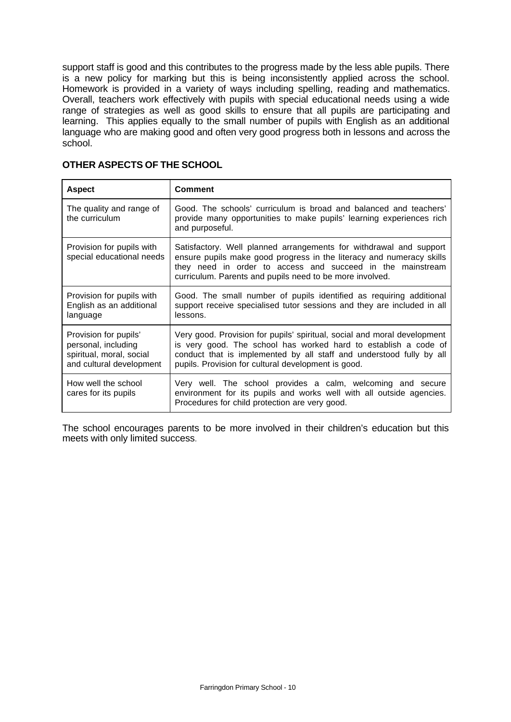support staff is good and this contributes to the progress made by the less able pupils. There is a new policy for marking but this is being inconsistently applied across the school. Homework is provided in a variety of ways including spelling, reading and mathematics. Overall, teachers work effectively with pupils with special educational needs using a wide range of strategies as well as good skills to ensure that all pupils are participating and learning. This applies equally to the small number of pupils with English as an additional language who are making good and often very good progress both in lessons and across the school.

| <b>Aspect</b>                                                                                        | <b>Comment</b>                                                                                                                                                                                                                                                             |
|------------------------------------------------------------------------------------------------------|----------------------------------------------------------------------------------------------------------------------------------------------------------------------------------------------------------------------------------------------------------------------------|
| The quality and range of<br>the curriculum                                                           | Good. The schools' curriculum is broad and balanced and teachers'<br>provide many opportunities to make pupils' learning experiences rich<br>and purposeful.                                                                                                               |
| Provision for pupils with<br>special educational needs                                               | Satisfactory. Well planned arrangements for withdrawal and support<br>ensure pupils make good progress in the literacy and numeracy skills<br>they need in order to access and succeed in the mainstream<br>curriculum. Parents and pupils need to be more involved.       |
| Provision for pupils with<br>English as an additional<br>language                                    | Good. The small number of pupils identified as requiring additional<br>support receive specialised tutor sessions and they are included in all<br>lessons.                                                                                                                 |
| Provision for pupils'<br>personal, including<br>spiritual, moral, social<br>and cultural development | Very good. Provision for pupils' spiritual, social and moral development<br>is very good. The school has worked hard to establish a code of<br>conduct that is implemented by all staff and understood fully by all<br>pupils. Provision for cultural development is good. |
| How well the school<br>cares for its pupils                                                          | Very well. The school provides a calm, welcoming and secure<br>environment for its pupils and works well with all outside agencies.<br>Procedures for child protection are very good.                                                                                      |

### **OTHER ASPECTS OF THE SCHOOL**

The school encourages parents to be more involved in their children's education but this meets with only limited success.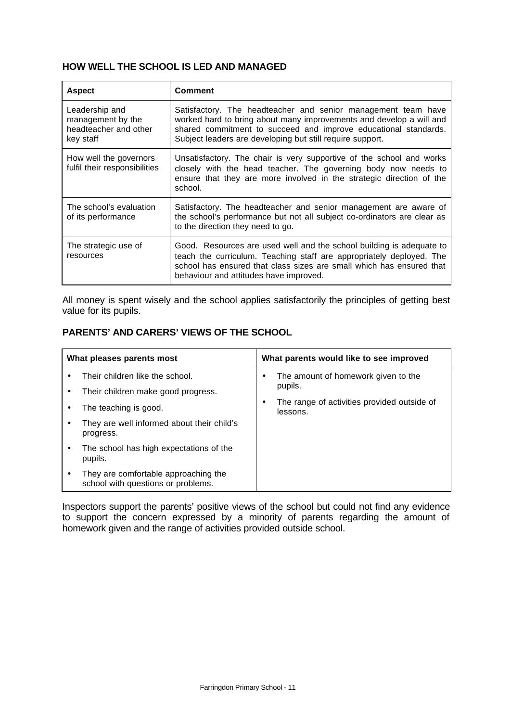## **HOW WELL THE SCHOOL IS LED AND MANAGED**

| <b>Aspect</b>                                                             | Comment                                                                                                                                                                                                                                                              |
|---------------------------------------------------------------------------|----------------------------------------------------------------------------------------------------------------------------------------------------------------------------------------------------------------------------------------------------------------------|
| Leadership and<br>management by the<br>headteacher and other<br>key staff | Satisfactory. The headteacher and senior management team have<br>worked hard to bring about many improvements and develop a will and<br>shared commitment to succeed and improve educational standards.<br>Subject leaders are developing but still require support. |
| How well the governors<br>fulfil their responsibilities                   | Unsatisfactory. The chair is very supportive of the school and works<br>closely with the head teacher. The governing body now needs to<br>ensure that they are more involved in the strategic direction of the<br>school.                                            |
| The school's evaluation<br>of its performance                             | Satisfactory. The headteacher and senior management are aware of<br>the school's performance but not all subject co-ordinators are clear as<br>to the direction they need to go.                                                                                     |
| The strategic use of<br>resources                                         | Good. Resources are used well and the school building is adequate to<br>teach the curriculum. Teaching staff are appropriately deployed. The<br>school has ensured that class sizes are small which has ensured that<br>behaviour and attitudes have improved.       |

All money is spent wisely and the school applies satisfactorily the principles of getting best value for its pupils.

## **PARENTS' AND CARERS' VIEWS OF THE SCHOOL**

| What pleases parents most |                                                                            | What parents would like to see improved        |
|---------------------------|----------------------------------------------------------------------------|------------------------------------------------|
|                           | Their children like the school.                                            | The amount of homework given to the<br>pupils. |
| ٠                         | Their children make good progress.                                         | The range of activities provided outside of    |
|                           | The teaching is good.                                                      | lessons.                                       |
|                           | They are well informed about their child's<br>progress.                    |                                                |
| ٠                         | The school has high expectations of the<br>pupils.                         |                                                |
|                           | They are comfortable approaching the<br>school with questions or problems. |                                                |

Inspectors support the parents' positive views of the school but could not find any evidence to support the concern expressed by a minority of parents regarding the amount of homework given and the range of activities provided outside school.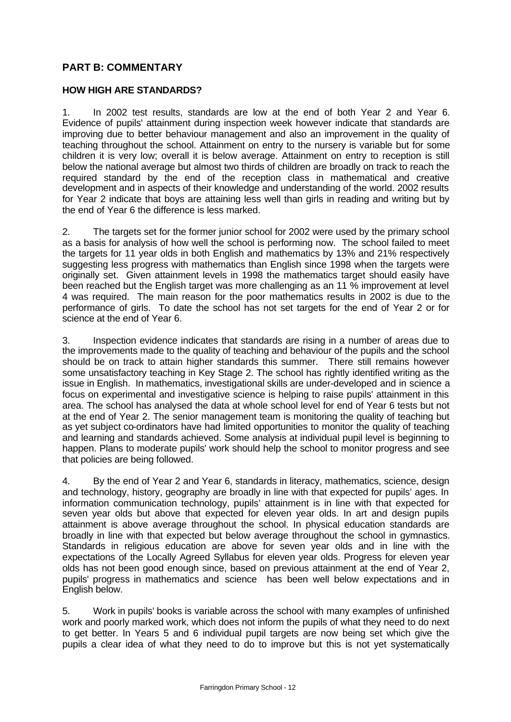# **PART B: COMMENTARY**

### **HOW HIGH ARE STANDARDS?**

1. In 2002 test results, standards are low at the end of both Year 2 and Year 6. Evidence of pupils' attainment during inspection week however indicate that standards are improving due to better behaviour management and also an improvement in the quality of teaching throughout the school. Attainment on entry to the nursery is variable but for some children it is very low; overall it is below average. Attainment on entry to reception is still below the national average but almost two thirds of children are broadly on track to reach the required standard by the end of the reception class in mathematical and creative development and in aspects of their knowledge and understanding of the world. 2002 results for Year 2 indicate that boys are attaining less well than girls in reading and writing but by the end of Year 6 the difference is less marked.

2. The targets set for the former junior school for 2002 were used by the primary school as a basis for analysis of how well the school is performing now. The school failed to meet the targets for 11 year olds in both English and mathematics by 13% and 21% respectively suggesting less progress with mathematics than English since 1998 when the targets were originally set. Given attainment levels in 1998 the mathematics target should easily have been reached but the English target was more challenging as an 11 % improvement at level 4 was required. The main reason for the poor mathematics results in 2002 is due to the performance of girls. To date the school has not set targets for the end of Year 2 or for science at the end of Year 6.

3. Inspection evidence indicates that standards are rising in a number of areas due to the improvements made to the quality of teaching and behaviour of the pupils and the school should be on track to attain higher standards this summer. There still remains however some unsatisfactory teaching in Key Stage 2. The school has rightly identified writing as the issue in English. In mathematics, investigational skills are under-developed and in science a focus on experimental and investigative science is helping to raise pupils' attainment in this area. The school has analysed the data at whole school level for end of Year 6 tests but not at the end of Year 2. The senior management team is monitoring the quality of teaching but as yet subject co-ordinators have had limited opportunities to monitor the quality of teaching and learning and standards achieved. Some analysis at individual pupil level is beginning to happen. Plans to moderate pupils' work should help the school to monitor progress and see that policies are being followed.

4. By the end of Year 2 and Year 6, standards in literacy, mathematics, science, design and technology, history, geography are broadly in line with that expected for pupils' ages. In information communication technology, pupils' attainment is in line with that expected for seven year olds but above that expected for eleven year olds. In art and design pupils attainment is above average throughout the school. In physical education standards are broadly in line with that expected but below average throughout the school in gymnastics. Standards in religious education are above for seven year olds and in line with the expectations of the Locally Agreed Syllabus for eleven year olds. Progress for eleven year olds has not been good enough since, based on previous attainment at the end of Year 2, pupils' progress in mathematics and science has been well below expectations and in English below.

5. Work in pupils' books is variable across the school with many examples of unfinished work and poorly marked work, which does not inform the pupils of what they need to do next to get better. In Years 5 and 6 individual pupil targets are now being set which give the pupils a clear idea of what they need to do to improve but this is not yet systematically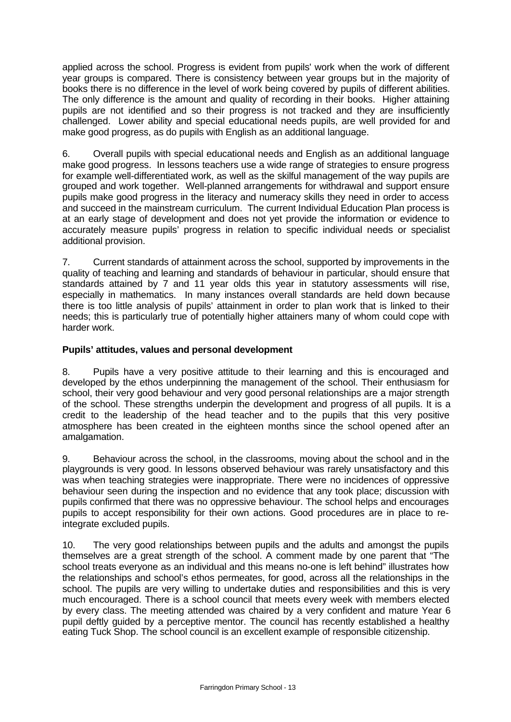applied across the school. Progress is evident from pupils' work when the work of different year groups is compared. There is consistency between year groups but in the majority of books there is no difference in the level of work being covered by pupils of different abilities. The only difference is the amount and quality of recording in their books. Higher attaining pupils are not identified and so their progress is not tracked and they are insufficiently challenged. Lower ability and special educational needs pupils, are well provided for and make good progress, as do pupils with English as an additional language.

6. Overall pupils with special educational needs and English as an additional language make good progress. In lessons teachers use a wide range of strategies to ensure progress for example well-differentiated work, as well as the skilful management of the way pupils are grouped and work together. Well-planned arrangements for withdrawal and support ensure pupils make good progress in the literacy and numeracy skills they need in order to access and succeed in the mainstream curriculum. The current Individual Education Plan process is at an early stage of development and does not yet provide the information or evidence to accurately measure pupils' progress in relation to specific individual needs or specialist additional provision.

7. Current standards of attainment across the school, supported by improvements in the quality of teaching and learning and standards of behaviour in particular, should ensure that standards attained by 7 and 11 year olds this year in statutory assessments will rise, especially in mathematics. In many instances overall standards are held down because there is too little analysis of pupils' attainment in order to plan work that is linked to their needs; this is particularly true of potentially higher attainers many of whom could cope with harder work.

## **Pupils' attitudes, values and personal development**

8. Pupils have a very positive attitude to their learning and this is encouraged and developed by the ethos underpinning the management of the school. Their enthusiasm for school, their very good behaviour and very good personal relationships are a major strength of the school. These strengths underpin the development and progress of all pupils. It is a credit to the leadership of the head teacher and to the pupils that this very positive atmosphere has been created in the eighteen months since the school opened after an amalgamation.

9. Behaviour across the school, in the classrooms, moving about the school and in the playgrounds is very good. In lessons observed behaviour was rarely unsatisfactory and this was when teaching strategies were inappropriate. There were no incidences of oppressive behaviour seen during the inspection and no evidence that any took place; discussion with pupils confirmed that there was no oppressive behaviour. The school helps and encourages pupils to accept responsibility for their own actions. Good procedures are in place to reintegrate excluded pupils.

10. The very good relationships between pupils and the adults and amongst the pupils themselves are a great strength of the school. A comment made by one parent that "The school treats everyone as an individual and this means no-one is left behind" illustrates how the relationships and school's ethos permeates, for good, across all the relationships in the school. The pupils are very willing to undertake duties and responsibilities and this is very much encouraged. There is a school council that meets every week with members elected by every class. The meeting attended was chaired by a very confident and mature Year 6 pupil deftly guided by a perceptive mentor. The council has recently established a healthy eating Tuck Shop. The school council is an excellent example of responsible citizenship.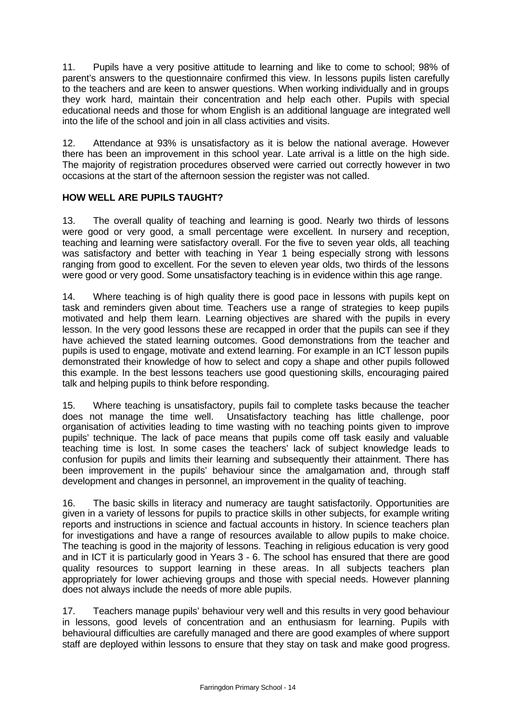11. Pupils have a very positive attitude to learning and like to come to school; 98% of parent's answers to the questionnaire confirmed this view. In lessons pupils listen carefully to the teachers and are keen to answer questions. When working individually and in groups they work hard, maintain their concentration and help each other. Pupils with special educational needs and those for whom English is an additional language are integrated well into the life of the school and join in all class activities and visits.

12. Attendance at 93% is unsatisfactory as it is below the national average. However there has been an improvement in this school year. Late arrival is a little on the high side. The majority of registration procedures observed were carried out correctly however in two occasions at the start of the afternoon session the register was not called.

# **HOW WELL ARE PUPILS TAUGHT?**

13. The overall quality of teaching and learning is good. Nearly two thirds of lessons were good or very good, a small percentage were excellent. In nursery and reception, teaching and learning were satisfactory overall. For the five to seven year olds, all teaching was satisfactory and better with teaching in Year 1 being especially strong with lessons ranging from good to excellent. For the seven to eleven year olds, two thirds of the lessons were good or very good. Some unsatisfactory teaching is in evidence within this age range.

14. Where teaching is of high quality there is good pace in lessons with pupils kept on task and reminders given about time. Teachers use a range of strategies to keep pupils motivated and help them learn. Learning objectives are shared with the pupils in every lesson. In the very good lessons these are recapped in order that the pupils can see if they have achieved the stated learning outcomes. Good demonstrations from the teacher and pupils is used to engage, motivate and extend learning. For example in an ICT lesson pupils demonstrated their knowledge of how to select and copy a shape and other pupils followed this example. In the best lessons teachers use good questioning skills, encouraging paired talk and helping pupils to think before responding.

15. Where teaching is unsatisfactory, pupils fail to complete tasks because the teacher does not manage the time well. Unsatisfactory teaching has little challenge, poor organisation of activities leading to time wasting with no teaching points given to improve pupils' technique. The lack of pace means that pupils come off task easily and valuable teaching time is lost. In some cases the teachers' lack of subject knowledge leads to confusion for pupils and limits their learning and subsequently their attainment. There has been improvement in the pupils' behaviour since the amalgamation and, through staff development and changes in personnel, an improvement in the quality of teaching.

16. The basic skills in literacy and numeracy are taught satisfactorily. Opportunities are given in a variety of lessons for pupils to practice skills in other subjects, for example writing reports and instructions in science and factual accounts in history. In science teachers plan for investigations and have a range of resources available to allow pupils to make choice. The teaching is good in the majority of lessons. Teaching in religious education is very good and in ICT it is particularly good in Years 3 - 6. The school has ensured that there are good quality resources to support learning in these areas. In all subjects teachers plan appropriately for lower achieving groups and those with special needs. However planning does not always include the needs of more able pupils.

17. Teachers manage pupils' behaviour very well and this results in very good behaviour in lessons, good levels of concentration and an enthusiasm for learning. Pupils with behavioural difficulties are carefully managed and there are good examples of where support staff are deployed within lessons to ensure that they stay on task and make good progress.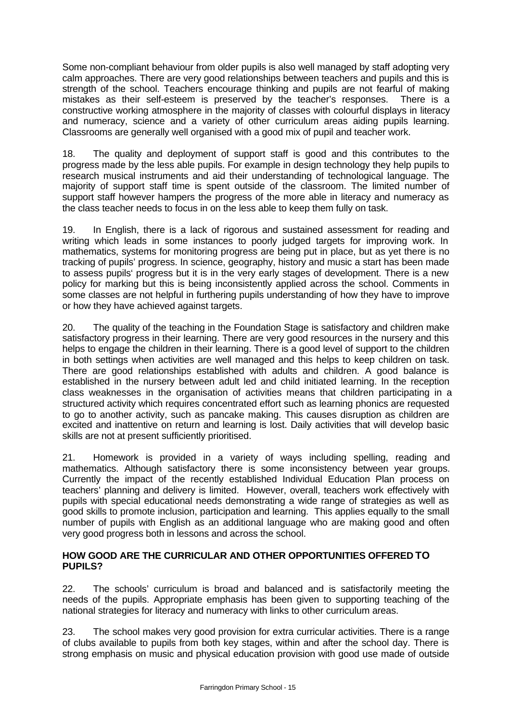Some non-compliant behaviour from older pupils is also well managed by staff adopting very calm approaches. There are very good relationships between teachers and pupils and this is strength of the school. Teachers encourage thinking and pupils are not fearful of making mistakes as their self-esteem is preserved by the teacher's responses. There is a constructive working atmosphere in the majority of classes with colourful displays in literacy and numeracy, science and a variety of other curriculum areas aiding pupils learning. Classrooms are generally well organised with a good mix of pupil and teacher work.

18. The quality and deployment of support staff is good and this contributes to the progress made by the less able pupils. For example in design technology they help pupils to research musical instruments and aid their understanding of technological language. The majority of support staff time is spent outside of the classroom. The limited number of support staff however hampers the progress of the more able in literacy and numeracy as the class teacher needs to focus in on the less able to keep them fully on task.

19. In English, there is a lack of rigorous and sustained assessment for reading and writing which leads in some instances to poorly judged targets for improving work. In mathematics, systems for monitoring progress are being put in place, but as yet there is no tracking of pupils' progress. In science, geography, history and music a start has been made to assess pupils' progress but it is in the very early stages of development. There is a new policy for marking but this is being inconsistently applied across the school. Comments in some classes are not helpful in furthering pupils understanding of how they have to improve or how they have achieved against targets.

20. The quality of the teaching in the Foundation Stage is satisfactory and children make satisfactory progress in their learning. There are very good resources in the nursery and this helps to engage the children in their learning. There is a good level of support to the children in both settings when activities are well managed and this helps to keep children on task. There are good relationships established with adults and children. A good balance is established in the nursery between adult led and child initiated learning. In the reception class weaknesses in the organisation of activities means that children participating in a structured activity which requires concentrated effort such as learning phonics are requested to go to another activity, such as pancake making. This causes disruption as children are excited and inattentive on return and learning is lost. Daily activities that will develop basic skills are not at present sufficiently prioritised.

21. Homework is provided in a variety of ways including spelling, reading and mathematics. Although satisfactory there is some inconsistency between year groups. Currently the impact of the recently established Individual Education Plan process on teachers' planning and delivery is limited. However, overall, teachers work effectively with pupils with special educational needs demonstrating a wide range of strategies as well as good skills to promote inclusion, participation and learning. This applies equally to the small number of pupils with English as an additional language who are making good and often very good progress both in lessons and across the school.

### **HOW GOOD ARE THE CURRICULAR AND OTHER OPPORTUNITIES OFFERED TO PUPILS?**

22. The schools' curriculum is broad and balanced and is satisfactorily meeting the needs of the pupils. Appropriate emphasis has been given to supporting teaching of the national strategies for literacy and numeracy with links to other curriculum areas.

23. The school makes very good provision for extra curricular activities. There is a range of clubs available to pupils from both key stages, within and after the school day. There is strong emphasis on music and physical education provision with good use made of outside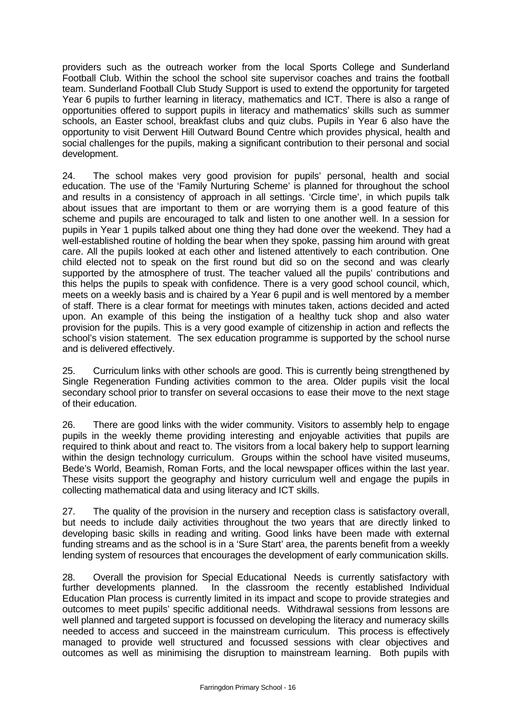providers such as the outreach worker from the local Sports College and Sunderland Football Club. Within the school the school site supervisor coaches and trains the football team. Sunderland Football Club Study Support is used to extend the opportunity for targeted Year 6 pupils to further learning in literacy, mathematics and ICT. There is also a range of opportunities offered to support pupils in literacy and mathematics' skills such as summer schools, an Easter school, breakfast clubs and quiz clubs. Pupils in Year 6 also have the opportunity to visit Derwent Hill Outward Bound Centre which provides physical, health and social challenges for the pupils, making a significant contribution to their personal and social development.

24. The school makes very good provision for pupils' personal, health and social education. The use of the 'Family Nurturing Scheme' is planned for throughout the school and results in a consistency of approach in all settings. 'Circle time', in which pupils talk about issues that are important to them or are worrying them is a good feature of this scheme and pupils are encouraged to talk and listen to one another well. In a session for pupils in Year 1 pupils talked about one thing they had done over the weekend. They had a well-established routine of holding the bear when they spoke, passing him around with great care. All the pupils looked at each other and listened attentively to each contribution. One child elected not to speak on the first round but did so on the second and was clearly supported by the atmosphere of trust. The teacher valued all the pupils' contributions and this helps the pupils to speak with confidence. There is a very good school council, which, meets on a weekly basis and is chaired by a Year 6 pupil and is well mentored by a member of staff. There is a clear format for meetings with minutes taken, actions decided and acted upon. An example of this being the instigation of a healthy tuck shop and also water provision for the pupils. This is a very good example of citizenship in action and reflects the school's vision statement. The sex education programme is supported by the school nurse and is delivered effectively.

25. Curriculum links with other schools are good. This is currently being strengthened by Single Regeneration Funding activities common to the area. Older pupils visit the local secondary school prior to transfer on several occasions to ease their move to the next stage of their education.

26. There are good links with the wider community. Visitors to assembly help to engage pupils in the weekly theme providing interesting and enjoyable activities that pupils are required to think about and react to. The visitors from a local bakery help to support learning within the design technology curriculum. Groups within the school have visited museums, Bede's World, Beamish, Roman Forts, and the local newspaper offices within the last year. These visits support the geography and history curriculum well and engage the pupils in collecting mathematical data and using literacy and ICT skills.

27. The quality of the provision in the nursery and reception class is satisfactory overall, but needs to include daily activities throughout the two years that are directly linked to developing basic skills in reading and writing. Good links have been made with external funding streams and as the school is in a 'Sure Start' area, the parents benefit from a weekly lending system of resources that encourages the development of early communication skills.

28. Overall the provision for Special Educational Needs is currently satisfactory with further developments planned. In the classroom the recently established Individual Education Plan process is currently limited in its impact and scope to provide strategies and outcomes to meet pupils' specific additional needs. Withdrawal sessions from lessons are well planned and targeted support is focussed on developing the literacy and numeracy skills needed to access and succeed in the mainstream curriculum. This process is effectively managed to provide well structured and focussed sessions with clear objectives and outcomes as well as minimising the disruption to mainstream learning. Both pupils with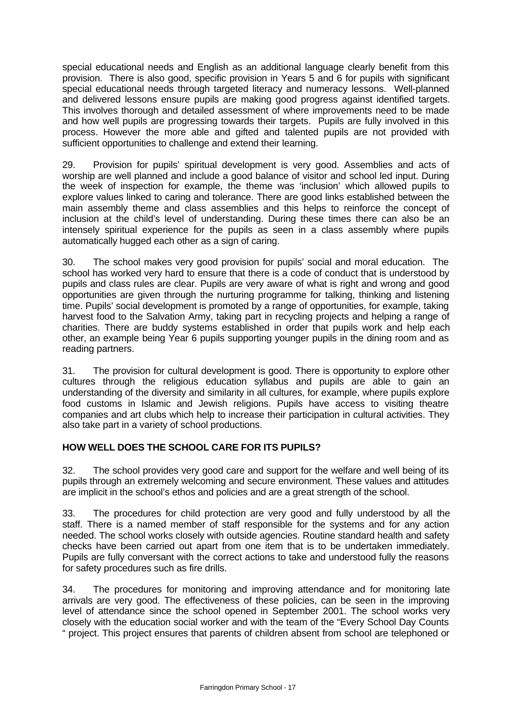special educational needs and English as an additional language clearly benefit from this provision. There is also good, specific provision in Years 5 and 6 for pupils with significant special educational needs through targeted literacy and numeracy lessons. Well-planned and delivered lessons ensure pupils are making good progress against identified targets. This involves thorough and detailed assessment of where improvements need to be made and how well pupils are progressing towards their targets. Pupils are fully involved in this process. However the more able and gifted and talented pupils are not provided with sufficient opportunities to challenge and extend their learning.

29. Provision for pupils' spiritual development is very good. Assemblies and acts of worship are well planned and include a good balance of visitor and school led input. During the week of inspection for example, the theme was 'inclusion' which allowed pupils to explore values linked to caring and tolerance. There are good links established between the main assembly theme and class assemblies and this helps to reinforce the concept of inclusion at the child's level of understanding. During these times there can also be an intensely spiritual experience for the pupils as seen in a class assembly where pupils automatically hugged each other as a sign of caring.

30. The school makes very good provision for pupils' social and moral education. The school has worked very hard to ensure that there is a code of conduct that is understood by pupils and class rules are clear. Pupils are very aware of what is right and wrong and good opportunities are given through the nurturing programme for talking, thinking and listening time. Pupils' social development is promoted by a range of opportunities, for example, taking harvest food to the Salvation Army, taking part in recycling projects and helping a range of charities. There are buddy systems established in order that pupils work and help each other, an example being Year 6 pupils supporting younger pupils in the dining room and as reading partners.

31. The provision for cultural development is good. There is opportunity to explore other cultures through the religious education syllabus and pupils are able to gain an understanding of the diversity and similarity in all cultures, for example, where pupils explore food customs in Islamic and Jewish religions. Pupils have access to visiting theatre companies and art clubs which help to increase their participation in cultural activities. They also take part in a variety of school productions.

# **HOW WELL DOES THE SCHOOL CARE FOR ITS PUPILS?**

32. The school provides very good care and support for the welfare and well being of its pupils through an extremely welcoming and secure environment. These values and attitudes are implicit in the school's ethos and policies and are a great strength of the school.

33. The procedures for child protection are very good and fully understood by all the staff. There is a named member of staff responsible for the systems and for any action needed. The school works closely with outside agencies. Routine standard health and safety checks have been carried out apart from one item that is to be undertaken immediately. Pupils are fully conversant with the correct actions to take and understood fully the reasons for safety procedures such as fire drills.

34. The procedures for monitoring and improving attendance and for monitoring late arrivals are very good. The effectiveness of these policies, can be seen in the improving level of attendance since the school opened in September 2001. The school works very closely with the education social worker and with the team of the "Every School Day Counts " project. This project ensures that parents of children absent from school are telephoned or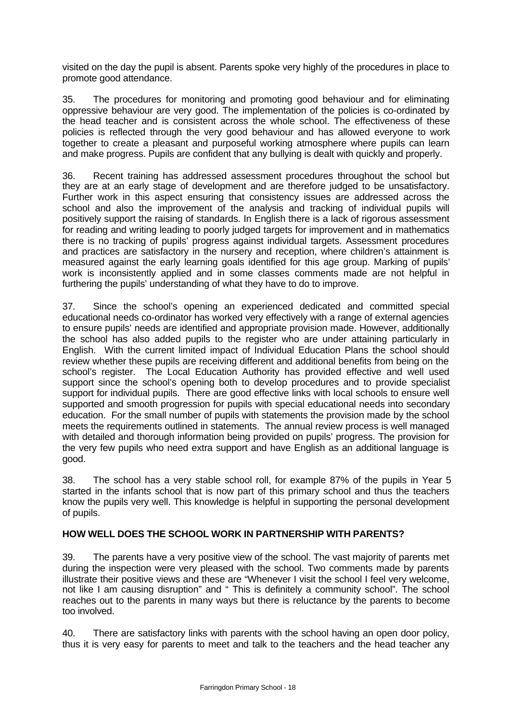visited on the day the pupil is absent. Parents spoke very highly of the procedures in place to promote good attendance.

35. The procedures for monitoring and promoting good behaviour and for eliminating oppressive behaviour are very good. The implementation of the policies is co-ordinated by the head teacher and is consistent across the whole school. The effectiveness of these policies is reflected through the very good behaviour and has allowed everyone to work together to create a pleasant and purposeful working atmosphere where pupils can learn and make progress. Pupils are confident that any bullying is dealt with quickly and properly.

36. Recent training has addressed assessment procedures throughout the school but they are at an early stage of development and are therefore judged to be unsatisfactory. Further work in this aspect ensuring that consistency issues are addressed across the school and also the improvement of the analysis and tracking of individual pupils will positively support the raising of standards. In English there is a lack of rigorous assessment for reading and writing leading to poorly judged targets for improvement and in mathematics there is no tracking of pupils' progress against individual targets. Assessment procedures and practices are satisfactory in the nursery and reception, where children's attainment is measured against the early learning goals identified for this age group. Marking of pupils' work is inconsistently applied and in some classes comments made are not helpful in furthering the pupils' understanding of what they have to do to improve.

37. Since the school's opening an experienced dedicated and committed special educational needs co-ordinator has worked very effectively with a range of external agencies to ensure pupils' needs are identified and appropriate provision made. However, additionally the school has also added pupils to the register who are under attaining particularly in English. With the current limited impact of Individual Education Plans the school should review whether these pupils are receiving different and additional benefits from being on the school's register. The Local Education Authority has provided effective and well used support since the school's opening both to develop procedures and to provide specialist support for individual pupils. There are good effective links with local schools to ensure well supported and smooth progression for pupils with special educational needs into secondary education. For the small number of pupils with statements the provision made by the school meets the requirements outlined in statements. The annual review process is well managed with detailed and thorough information being provided on pupils' progress. The provision for the very few pupils who need extra support and have English as an additional language is good.

38. The school has a very stable school roll, for example 87% of the pupils in Year 5 started in the infants school that is now part of this primary school and thus the teachers know the pupils very well. This knowledge is helpful in supporting the personal development of pupils.

### **HOW WELL DOES THE SCHOOL WORK IN PARTNERSHIP WITH PARENTS?**

39. The parents have a very positive view of the school. The vast majority of parents met during the inspection were very pleased with the school. Two comments made by parents illustrate their positive views and these are "Whenever I visit the school I feel very welcome, not like I am causing disruption" and " This is definitely a community school". The school reaches out to the parents in many ways but there is reluctance by the parents to become too involved.

40. There are satisfactory links with parents with the school having an open door policy, thus it is very easy for parents to meet and talk to the teachers and the head teacher any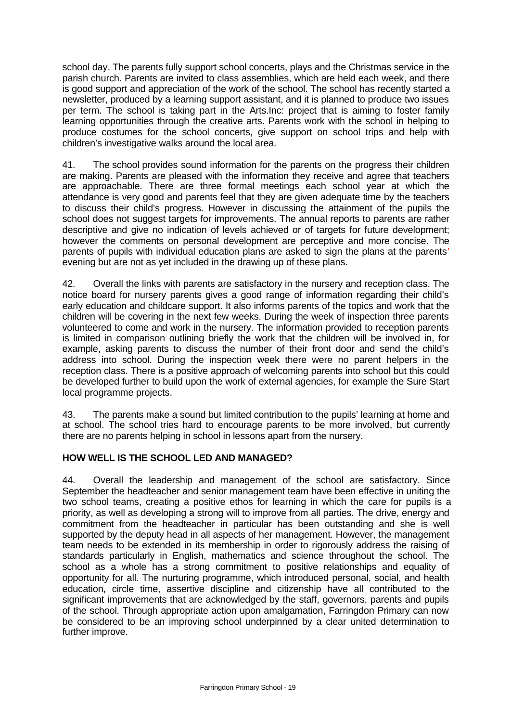school day. The parents fully support school concerts, plays and the Christmas service in the parish church. Parents are invited to class assemblies, which are held each week, and there is good support and appreciation of the work of the school. The school has recently started a newsletter, produced by a learning support assistant, and it is planned to produce two issues per term. The school is taking part in the Arts.Inc: project that is aiming to foster family learning opportunities through the creative arts. Parents work with the school in helping to produce costumes for the school concerts, give support on school trips and help with children's investigative walks around the local area.

41. The school provides sound information for the parents on the progress their children are making. Parents are pleased with the information they receive and agree that teachers are approachable. There are three formal meetings each school year at which the attendance is very good and parents feel that they are given adequate time by the teachers to discuss their child's progress. However in discussing the attainment of the pupils the school does not suggest targets for improvements. The annual reports to parents are rather descriptive and give no indication of levels achieved or of targets for future development; however the comments on personal development are perceptive and more concise. The parents of pupils with individual education plans are asked to sign the plans at the parents' evening but are not as yet included in the drawing up of these plans.

42. Overall the links with parents are satisfactory in the nursery and reception class. The notice board for nursery parents gives a good range of information regarding their child's early education and childcare support. It also informs parents of the topics and work that the children will be covering in the next few weeks. During the week of inspection three parents volunteered to come and work in the nursery. The information provided to reception parents is limited in comparison outlining briefly the work that the children will be involved in, for example, asking parents to discuss the number of their front door and send the child's address into school. During the inspection week there were no parent helpers in the reception class. There is a positive approach of welcoming parents into school but this could be developed further to build upon the work of external agencies, for example the Sure Start local programme projects.

43. The parents make a sound but limited contribution to the pupils' learning at home and at school. The school tries hard to encourage parents to be more involved, but currently there are no parents helping in school in lessons apart from the nursery.

### **HOW WELL IS THE SCHOOL LED AND MANAGED?**

44. Overall the leadership and management of the school are satisfactory. Since September the headteacher and senior management team have been effective in uniting the two school teams, creating a positive ethos for learning in which the care for pupils is a priority, as well as developing a strong will to improve from all parties. The drive, energy and commitment from the headteacher in particular has been outstanding and she is well supported by the deputy head in all aspects of her management. However, the management team needs to be extended in its membership in order to rigorously address the raising of standards particularly in English, mathematics and science throughout the school. The school as a whole has a strong commitment to positive relationships and equality of opportunity for all. The nurturing programme, which introduced personal, social, and health education, circle time, assertive discipline and citizenship have all contributed to the significant improvements that are acknowledged by the staff, governors, parents and pupils of the school. Through appropriate action upon amalgamation, Farringdon Primary can now be considered to be an improving school underpinned by a clear united determination to further improve.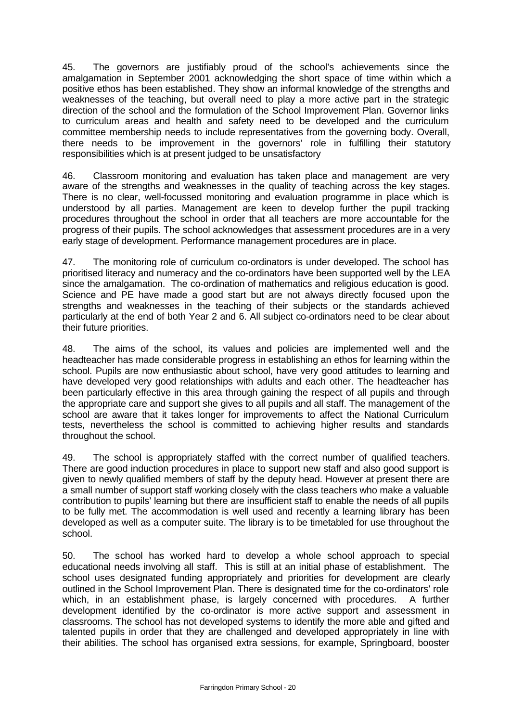45. The governors are justifiably proud of the school's achievements since the amalgamation in September 2001 acknowledging the short space of time within which a positive ethos has been established. They show an informal knowledge of the strengths and weaknesses of the teaching, but overall need to play a more active part in the strategic direction of the school and the formulation of the School Improvement Plan. Governor links to curriculum areas and health and safety need to be developed and the curriculum committee membership needs to include representatives from the governing body. Overall, there needs to be improvement in the governors' role in fulfilling their statutory responsibilities which is at present judged to be unsatisfactory

46. Classroom monitoring and evaluation has taken place and management are very aware of the strengths and weaknesses in the quality of teaching across the key stages. There is no clear, well-focussed monitoring and evaluation programme in place which is understood by all parties. Management are keen to develop further the pupil tracking procedures throughout the school in order that all teachers are more accountable for the progress of their pupils. The school acknowledges that assessment procedures are in a very early stage of development. Performance management procedures are in place.

47. The monitoring role of curriculum co-ordinators is under developed. The school has prioritised literacy and numeracy and the co-ordinators have been supported well by the LEA since the amalgamation. The co-ordination of mathematics and religious education is good. Science and PE have made a good start but are not always directly focused upon the strengths and weaknesses in the teaching of their subjects or the standards achieved particularly at the end of both Year 2 and 6. All subject co-ordinators need to be clear about their future priorities.

48. The aims of the school, its values and policies are implemented well and the headteacher has made considerable progress in establishing an ethos for learning within the school. Pupils are now enthusiastic about school, have very good attitudes to learning and have developed very good relationships with adults and each other. The headteacher has been particularly effective in this area through gaining the respect of all pupils and through the appropriate care and support she gives to all pupils and all staff. The management of the school are aware that it takes longer for improvements to affect the National Curriculum tests, nevertheless the school is committed to achieving higher results and standards throughout the school.

49. The school is appropriately staffed with the correct number of qualified teachers. There are good induction procedures in place to support new staff and also good support is given to newly qualified members of staff by the deputy head. However at present there are a small number of support staff working closely with the class teachers who make a valuable contribution to pupils' learning but there are insufficient staff to enable the needs of all pupils to be fully met. The accommodation is well used and recently a learning library has been developed as well as a computer suite. The library is to be timetabled for use throughout the school.

50. The school has worked hard to develop a whole school approach to special educational needs involving all staff. This is still at an initial phase of establishment. The school uses designated funding appropriately and priorities for development are clearly outlined in the School Improvement Plan. There is designated time for the co-ordinators' role which, in an establishment phase, is largely concerned with procedures. A further development identified by the co-ordinator is more active support and assessment in classrooms. The school has not developed systems to identify the more able and gifted and talented pupils in order that they are challenged and developed appropriately in line with their abilities. The school has organised extra sessions, for example, Springboard, booster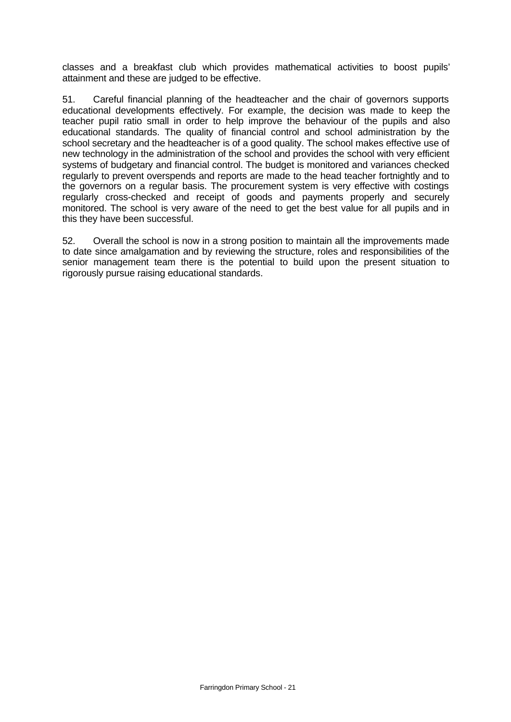classes and a breakfast club which provides mathematical activities to boost pupils' attainment and these are judged to be effective.

51. Careful financial planning of the headteacher and the chair of governors supports educational developments effectively. For example, the decision was made to keep the teacher pupil ratio small in order to help improve the behaviour of the pupils and also educational standards. The quality of financial control and school administration by the school secretary and the headteacher is of a good quality. The school makes effective use of new technology in the administration of the school and provides the school with very efficient systems of budgetary and financial control. The budget is monitored and variances checked regularly to prevent overspends and reports are made to the head teacher fortnightly and to the governors on a regular basis. The procurement system is very effective with costings regularly cross-checked and receipt of goods and payments properly and securely monitored. The school is very aware of the need to get the best value for all pupils and in this they have been successful.

52. Overall the school is now in a strong position to maintain all the improvements made to date since amalgamation and by reviewing the structure, roles and responsibilities of the senior management team there is the potential to build upon the present situation to rigorously pursue raising educational standards.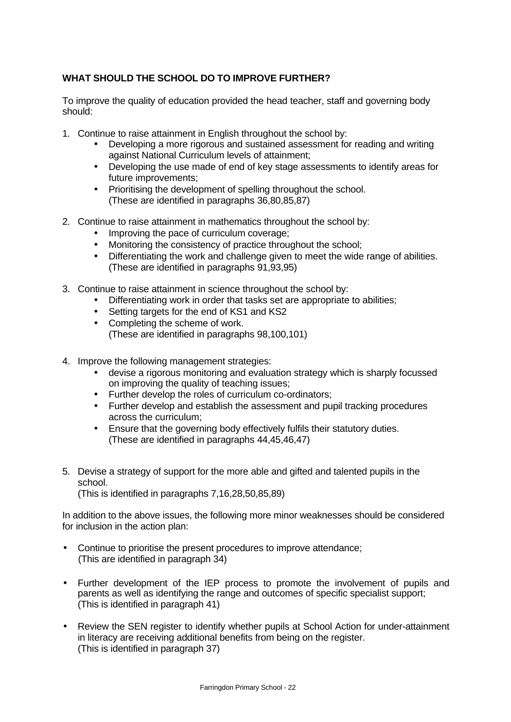# **WHAT SHOULD THE SCHOOL DO TO IMPROVE FURTHER?**

To improve the quality of education provided the head teacher, staff and governing body should:

- 1. Continue to raise attainment in English throughout the school by:
	- Developing a more rigorous and sustained assessment for reading and writing against National Curriculum levels of attainment;
	- Developing the use made of end of key stage assessments to identify areas for future improvements;
	- Prioritising the development of spelling throughout the school. (These are identified in paragraphs 36,80,85,87)
- 2. Continue to raise attainment in mathematics throughout the school by:
	- Improving the pace of curriculum coverage;
	- Monitoring the consistency of practice throughout the school;
	- Differentiating the work and challenge given to meet the wide range of abilities. (These are identified in paragraphs 91,93,95)
- 3. Continue to raise attainment in science throughout the school by:
	- Differentiating work in order that tasks set are appropriate to abilities;
	- Setting targets for the end of KS1 and KS2
	- Completing the scheme of work. (These are identified in paragraphs 98,100,101)
- 4. Improve the following management strategies:
	- devise a rigorous monitoring and evaluation strategy which is sharply focussed on improving the quality of teaching issues;
	- Further develop the roles of curriculum co-ordinators;
	- Further develop and establish the assessment and pupil tracking procedures across the curriculum;
	- Ensure that the governing body effectively fulfils their statutory duties. (These are identified in paragraphs 44,45,46,47)
- 5. Devise a strategy of support for the more able and gifted and talented pupils in the school.

(This is identified in paragraphs 7,16,28,50,85,89)

In addition to the above issues, the following more minor weaknesses should be considered for inclusion in the action plan:

- Continue to prioritise the present procedures to improve attendance; (This are identified in paragraph 34)
- Further development of the IEP process to promote the involvement of pupils and parents as well as identifying the range and outcomes of specific specialist support; (This is identified in paragraph 41)
- Review the SEN register to identify whether pupils at School Action for under-attainment in literacy are receiving additional benefits from being on the register. (This is identified in paragraph 37)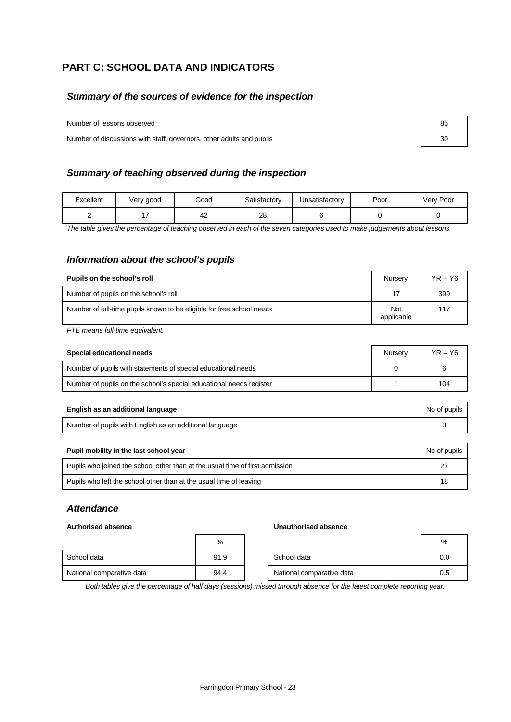# **PART C: SCHOOL DATA AND INDICATORS**

### *Summary of the sources of evidence for the inspection*

Number of lessons observed 85

Number of discussions with staff, governors, other adults and pupils 30

### *Summary of teaching observed during the inspection*

| Excellent | Very good | Good | Satisfactory | Unsatisfactory | Poor | Very Poor |
|-----------|-----------|------|--------------|----------------|------|-----------|
|           |           | 42   | 28           |                |      |           |

*The table gives the percentage of teaching observed in each of the seven categories used to make judgements about lessons.*

### *Information about the school's pupils*

| Pupils on the school's roll                                           | Nursery                  | $YR - Y6$ |
|-----------------------------------------------------------------------|--------------------------|-----------|
| Number of pupils on the school's roll                                 | 17                       | 399       |
| Number of full-time pupils known to be eligible for free school meals | <b>Not</b><br>applicable | 117       |

*FTE means full-time equivalent.*

| Special educational needs                                           | Nurserv | $YR - Y6$ |
|---------------------------------------------------------------------|---------|-----------|
| Number of pupils with statements of special educational needs       |         | 6         |
| Number of pupils on the school's special educational needs register |         | 104       |

| English as an additional language                       | No of pupils |
|---------------------------------------------------------|--------------|
| Number of pupils with English as an additional language |              |

| Pupil mobility in the last school year                                       | No of pupils |
|------------------------------------------------------------------------------|--------------|
| Pupils who joined the school other than at the usual time of first admission | 27           |
| Pupils who left the school other than at the usual time of leaving           | 18           |

### *Attendance*

|                           | %    |
|---------------------------|------|
| School data               | 91.9 |
| National comparative data | 94.4 |

### **Authorised absence Unauthorised absence**

|                           | %    |                           | %   |
|---------------------------|------|---------------------------|-----|
| School data               | 91.9 | School data               | 0.0 |
| National comparative data | 94.4 | National comparative data | 0.5 |

*Both tables give the percentage of half days (sessions) missed through absence for the latest complete reporting year.*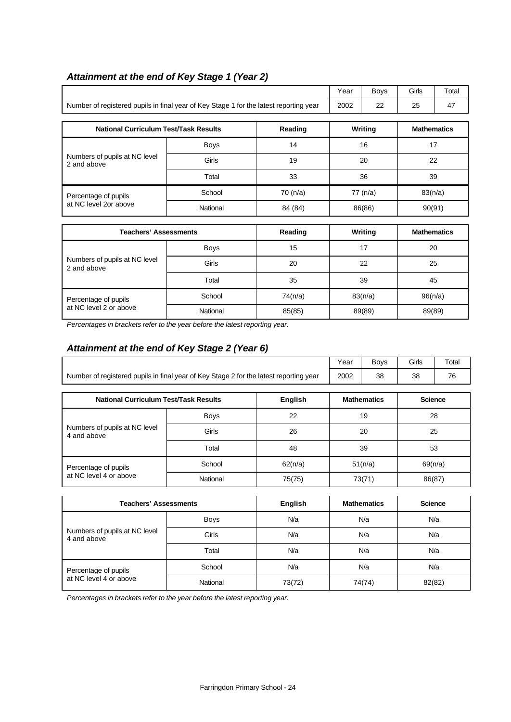|                                                                                        |             |          | Year               | <b>Boys</b>    | Girls              | Total              |  |    |
|----------------------------------------------------------------------------------------|-------------|----------|--------------------|----------------|--------------------|--------------------|--|----|
| Number of registered pupils in final year of Key Stage 1 for the latest reporting year |             | 2002     | 22                 | 25             | 47                 |                    |  |    |
|                                                                                        |             |          |                    |                |                    |                    |  |    |
| <b>National Curriculum Test/Task Results</b><br>Reading                                |             |          | Writing            |                | <b>Mathematics</b> |                    |  |    |
|                                                                                        | <b>Boys</b> | 14       |                    | 16             |                    | 17                 |  |    |
| Numbers of pupils at NC level<br>2 and above                                           | Girls       | 19       |                    | 20             |                    |                    |  | 22 |
|                                                                                        | Total       | 33       |                    | 36             |                    | 39                 |  |    |
| Percentage of pupils                                                                   | School      | 70 (n/a) | 77 (n/a)<br>86(86) |                |                    | 83(n/a)            |  |    |
| at NC level 2or above                                                                  | National    | 84 (84)  |                    |                | 90(91)             |                    |  |    |
|                                                                                        |             |          |                    |                |                    |                    |  |    |
| <b>Teachers' Assessments</b>                                                           |             | Reading  |                    | <b>Writing</b> |                    | <b>Mathematics</b> |  |    |
|                                                                                        | Boys        | 15       |                    | 17             |                    | 20                 |  |    |
| Numbers of pupils at NC level<br>2 and above                                           | Girls       | 20       | 22<br>25           |                |                    |                    |  |    |
|                                                                                        | Total       | 35       | 39<br>45           |                |                    |                    |  |    |
| Percentage of pupils                                                                   | School      | 74(n/a)  | 83(n/a)            |                |                    | 96(n/a)            |  |    |
| at NC level 2 or above                                                                 | National    | 85(85)   |                    | 89(89)         | 89(89)             |                    |  |    |

# *Attainment at the end of Key Stage 1 (Year 2)*

*Percentages in brackets refer to the year before the latest reporting year.*

# *Attainment at the end of Key Stage 2 (Year 6)*

|                                                                                        | Year | Bovs | Girls | Total |
|----------------------------------------------------------------------------------------|------|------|-------|-------|
| Number of registered pupils in final year of Key Stage 2 for the latest reporting year | 2002 | 38   | 38    | 76    |

| <b>National Curriculum Test/Task Results</b> |             | English | <b>Mathematics</b> | <b>Science</b> |
|----------------------------------------------|-------------|---------|--------------------|----------------|
|                                              | <b>Boys</b> | 22      | 19                 | 28             |
| Numbers of pupils at NC level<br>4 and above | Girls       | 26      | 20                 | 25             |
|                                              | Total       | 48      | 39                 | 53             |
| Percentage of pupils                         | School      | 62(n/a) | 51(n/a)            | 69(n/a)        |
| at NC level 4 or above                       | National    | 75(75)  | 73(71)             | 86(87)         |

| <b>Teachers' Assessments</b>                 |             | English | <b>Mathematics</b> | <b>Science</b> |
|----------------------------------------------|-------------|---------|--------------------|----------------|
|                                              | <b>Boys</b> | N/a     | N/a                | N/a            |
| Numbers of pupils at NC level<br>4 and above | Girls       | N/a     | N/a                | N/a            |
|                                              | Total       | N/a     | N/a                | N/a            |
| Percentage of pupils                         | School      | N/a     | N/a                | N/a            |
| at NC level 4 or above                       | National    | 73(72)  | 74(74)             | 82(82)         |

*Percentages in brackets refer to the year before the latest reporting year.*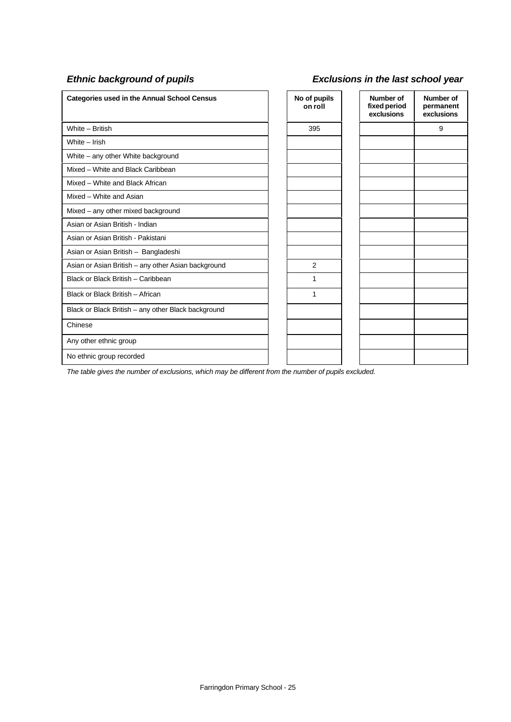## *Ethnic background of pupils Exclusions in the last school year*

| <b>Categories used in the Annual School Census</b>  | No of pupils<br>on roll | Number of<br>fixed period<br>exclusions | Number of<br>permanent<br>exclusions |
|-----------------------------------------------------|-------------------------|-----------------------------------------|--------------------------------------|
| White - British                                     | 395                     |                                         | 9                                    |
| White - Irish                                       |                         |                                         |                                      |
| White – any other White background                  |                         |                                         |                                      |
| Mixed - White and Black Caribbean                   |                         |                                         |                                      |
| Mixed - White and Black African                     |                         |                                         |                                      |
| Mixed - White and Asian                             |                         |                                         |                                      |
| Mixed - any other mixed background                  |                         |                                         |                                      |
| Asian or Asian British - Indian                     |                         |                                         |                                      |
| Asian or Asian British - Pakistani                  |                         |                                         |                                      |
| Asian or Asian British - Bangladeshi                |                         |                                         |                                      |
| Asian or Asian British - any other Asian background | 2                       |                                         |                                      |
| Black or Black British - Caribbean                  | 1                       |                                         |                                      |
| Black or Black British - African                    | 1                       |                                         |                                      |
| Black or Black British - any other Black background |                         |                                         |                                      |
| Chinese                                             |                         |                                         |                                      |
| Any other ethnic group                              |                         |                                         |                                      |
| No ethnic group recorded                            |                         |                                         |                                      |

*The table gives the number of exclusions, which may be different from the number of pupils excluded.*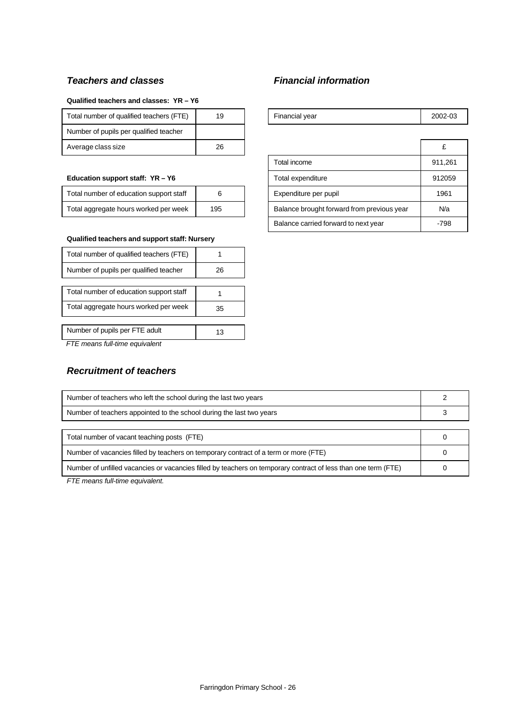## *Teachers and classes Financial information*

### **Qualified teachers and classes: YR – Y6**

| Total number of qualified teachers (FTE) | 19 | Financial year | 2002 |
|------------------------------------------|----|----------------|------|
| Number of pupils per qualified teacher   |    |                |      |
| Average class size                       | 26 |                |      |

### Education support staff: YR - Y6

| Total number of education support staff |     |
|-----------------------------------------|-----|
| Total aggregate hours worked per week   | 195 |

### **Qualified teachers and support staff: Nursery**

| Total number of qualified teachers (FTE) |    |
|------------------------------------------|----|
| Number of pupils per qualified teacher   | 26 |
|                                          |    |
| Total number of education support staff  |    |
| Total aggregate hours worked per week    | 35 |
|                                          |    |
| Number of pupils per FTE adult           | 13 |
| FTF means full-time equivalent           |    |

 *FTE means full-time equivalent*

## *Recruitment of teachers*

| Total number of qualified teachers (FTE) | 19 | Financial year | 2002-03 |
|------------------------------------------|----|----------------|---------|
| Number of pupils per qualified teacher   |    |                |         |
| Average class size                       | 26 |                |         |
|                                          |    |                |         |

|                                         |     |  | Total income                               | 911.261 |
|-----------------------------------------|-----|--|--------------------------------------------|---------|
| Education support staff: YR - Y6        |     |  | Total expenditure                          | 912059  |
| Total number of education support staff | 6   |  | Expenditure per pupil                      | 1961    |
| Total aggregate hours worked per week   | 195 |  | Balance brought forward from previous year | N/a     |
|                                         |     |  | Balance carried forward to next year       | $-798$  |

| Number of teachers who left the school during the last two years                                               |  |
|----------------------------------------------------------------------------------------------------------------|--|
| Number of teachers appointed to the school during the last two years                                           |  |
|                                                                                                                |  |
| Total number of vacant teaching posts (FTE)                                                                    |  |
| Number of vacancies filled by teachers on temporary contract of a term or more (FTE)                           |  |
| Number of unfilled vacancies or vacancies filled by teachers on temporary contract of less than one term (FTE) |  |

*FTE means full-time equivalent.*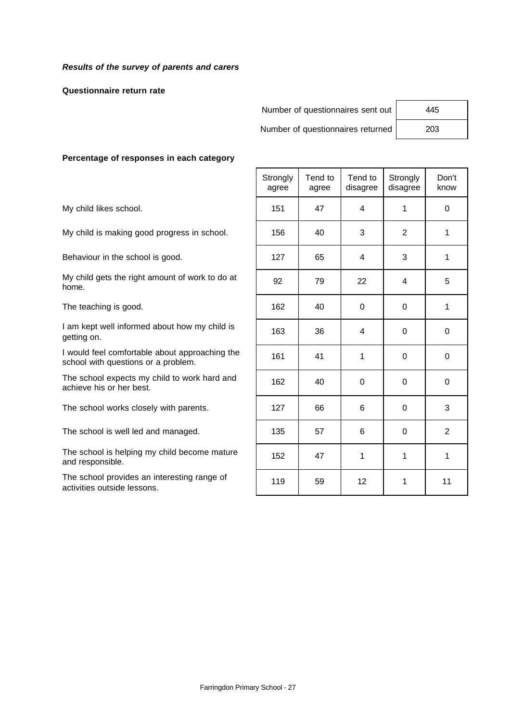### *Results of the survey of parents and carers*

### **Questionnaire return rate**

Number of questionnaires sent out | 445

Number of questionnaires returned | 203

### **Percentage of responses in each category**

|                                                                                       | Strongly<br>agree | Tend to<br>agree | Tend to<br>disagree | Strongly<br>disagree | Don't<br>know |
|---------------------------------------------------------------------------------------|-------------------|------------------|---------------------|----------------------|---------------|
| My child likes school.                                                                | 151               | 47               | 4                   | $\mathbf{1}$         | $\Omega$      |
| My child is making good progress in school.                                           | 156               | 40               | 3                   | 2                    | 1             |
| Behaviour in the school is good.                                                      | 127               | 65               | $\overline{4}$      | 3                    | 1             |
| My child gets the right amount of work to do at<br>home.                              | 92                | 79               | 22                  | 4                    | 5             |
| The teaching is good.                                                                 | 162               | 40               | $\Omega$            | $\Omega$             | 1             |
| I am kept well informed about how my child is<br>getting on.                          | 163               | 36               | 4                   | $\Omega$             | 0             |
| I would feel comfortable about approaching the<br>school with questions or a problem. | 161               | 41               | 1                   | $\Omega$             | $\mathbf 0$   |
| The school expects my child to work hard and<br>achieve his or her best.              | 162               | 40               | $\Omega$            | $\Omega$             | $\Omega$      |
| The school works closely with parents.                                                | 127               | 66               | 6                   | $\Omega$             | 3             |
| The school is well led and managed.                                                   | 135               | 57               | 6                   | $\Omega$             | 2             |
| The school is helping my child become mature<br>and responsible.                      | 152               | 47               | 1                   | $\mathbf{1}$         | $\mathbf{1}$  |
| The school provides an interesting range of<br>activities outside lessons.            | 119               | 59               | 12                  | 1                    | 11            |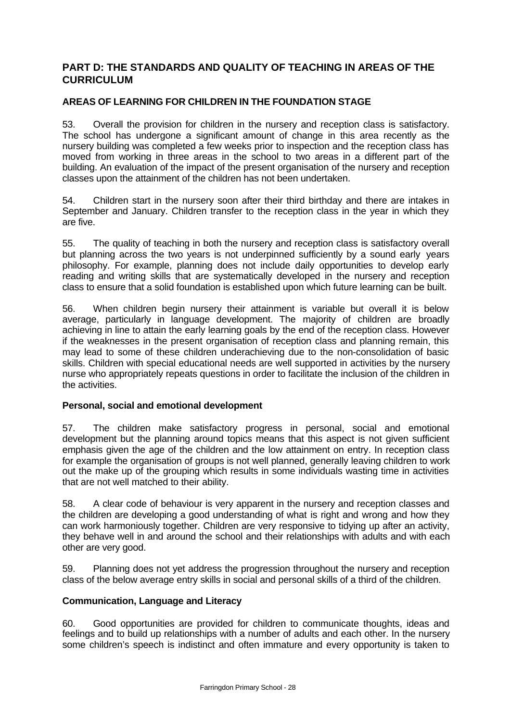# **PART D: THE STANDARDS AND QUALITY OF TEACHING IN AREAS OF THE CURRICULUM**

## **AREAS OF LEARNING FOR CHILDREN IN THE FOUNDATION STAGE**

53. Overall the provision for children in the nursery and reception class is satisfactory. The school has undergone a significant amount of change in this area recently as the nursery building was completed a few weeks prior to inspection and the reception class has moved from working in three areas in the school to two areas in a different part of the building. An evaluation of the impact of the present organisation of the nursery and reception classes upon the attainment of the children has not been undertaken.

54. Children start in the nursery soon after their third birthday and there are intakes in September and January. Children transfer to the reception class in the year in which they are five.

55. The quality of teaching in both the nursery and reception class is satisfactory overall but planning across the two years is not underpinned sufficiently by a sound early years philosophy. For example, planning does not include daily opportunities to develop early reading and writing skills that are systematically developed in the nursery and reception class to ensure that a solid foundation is established upon which future learning can be built.

56. When children begin nursery their attainment is variable but overall it is below average, particularly in language development. The majority of children are broadly achieving in line to attain the early learning goals by the end of the reception class. However if the weaknesses in the present organisation of reception class and planning remain, this may lead to some of these children underachieving due to the non-consolidation of basic skills. Children with special educational needs are well supported in activities by the nursery nurse who appropriately repeats questions in order to facilitate the inclusion of the children in the activities.

### **Personal, social and emotional development**

57. The children make satisfactory progress in personal, social and emotional development but the planning around topics means that this aspect is not given sufficient emphasis given the age of the children and the low attainment on entry. In reception class for example the organisation of groups is not well planned, generally leaving children to work out the make up of the grouping which results in some individuals wasting time in activities that are not well matched to their ability.

58. A clear code of behaviour is very apparent in the nursery and reception classes and the children are developing a good understanding of what is right and wrong and how they can work harmoniously together. Children are very responsive to tidying up after an activity, they behave well in and around the school and their relationships with adults and with each other are very good.

59. Planning does not yet address the progression throughout the nursery and reception class of the below average entry skills in social and personal skills of a third of the children.

### **Communication, Language and Literacy**

60. Good opportunities are provided for children to communicate thoughts, ideas and feelings and to build up relationships with a number of adults and each other. In the nursery some children's speech is indistinct and often immature and every opportunity is taken to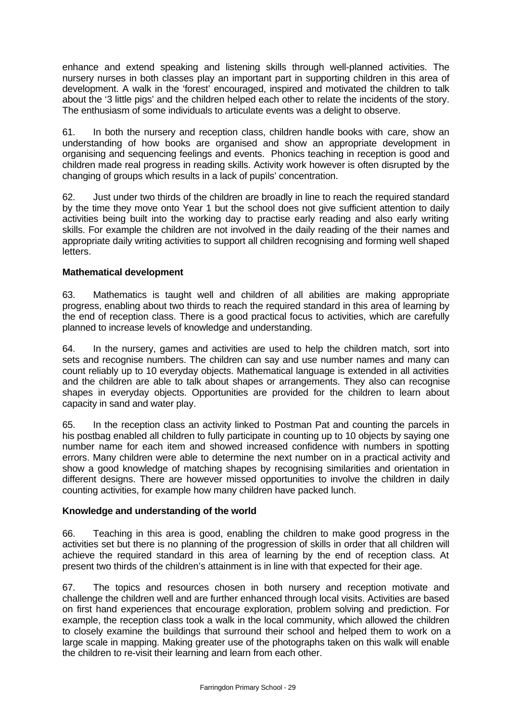enhance and extend speaking and listening skills through well-planned activities. The nursery nurses in both classes play an important part in supporting children in this area of development. A walk in the 'forest' encouraged, inspired and motivated the children to talk about the '3 little pigs' and the children helped each other to relate the incidents of the story. The enthusiasm of some individuals to articulate events was a delight to observe.

61. In both the nursery and reception class, children handle books with care, show an understanding of how books are organised and show an appropriate development in organising and sequencing feelings and events. Phonics teaching in reception is good and children made real progress in reading skills. Activity work however is often disrupted by the changing of groups which results in a lack of pupils' concentration.

62. Just under two thirds of the children are broadly in line to reach the required standard by the time they move onto Year 1 but the school does not give sufficient attention to daily activities being built into the working day to practise early reading and also early writing skills. For example the children are not involved in the daily reading of the their names and appropriate daily writing activities to support all children recognising and forming well shaped letters.

### **Mathematical development**

63. Mathematics is taught well and children of all abilities are making appropriate progress, enabling about two thirds to reach the required standard in this area of learning by the end of reception class. There is a good practical focus to activities, which are carefully planned to increase levels of knowledge and understanding.

64. In the nursery, games and activities are used to help the children match, sort into sets and recognise numbers. The children can say and use number names and many can count reliably up to 10 everyday objects. Mathematical language is extended in all activities and the children are able to talk about shapes or arrangements. They also can recognise shapes in everyday objects. Opportunities are provided for the children to learn about capacity in sand and water play.

65. In the reception class an activity linked to Postman Pat and counting the parcels in his postbag enabled all children to fully participate in counting up to 10 objects by saying one number name for each item and showed increased confidence with numbers in spotting errors. Many children were able to determine the next number on in a practical activity and show a good knowledge of matching shapes by recognising similarities and orientation in different designs. There are however missed opportunities to involve the children in daily counting activities, for example how many children have packed lunch.

### **Knowledge and understanding of the world**

66. Teaching in this area is good, enabling the children to make good progress in the activities set but there is no planning of the progression of skills in order that all children will achieve the required standard in this area of learning by the end of reception class. At present two thirds of the children's attainment is in line with that expected for their age.

67. The topics and resources chosen in both nursery and reception motivate and challenge the children well and are further enhanced through local visits. Activities are based on first hand experiences that encourage exploration, problem solving and prediction. For example, the reception class took a walk in the local community, which allowed the children to closely examine the buildings that surround their school and helped them to work on a large scale in mapping. Making greater use of the photographs taken on this walk will enable the children to re-visit their learning and learn from each other.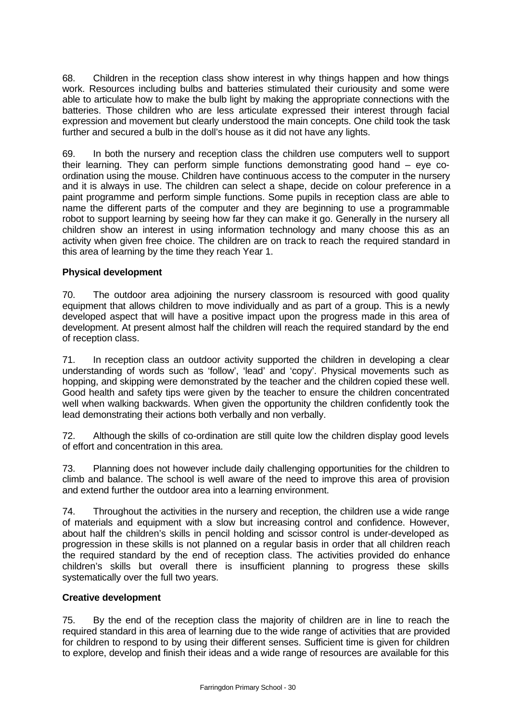68. Children in the reception class show interest in why things happen and how things work. Resources including bulbs and batteries stimulated their curiousity and some were able to articulate how to make the bulb light by making the appropriate connections with the batteries. Those children who are less articulate expressed their interest through facial expression and movement but clearly understood the main concepts. One child took the task further and secured a bulb in the doll's house as it did not have any lights.

69. In both the nursery and reception class the children use computers well to support their learning. They can perform simple functions demonstrating good hand – eye coordination using the mouse. Children have continuous access to the computer in the nursery and it is always in use. The children can select a shape, decide on colour preference in a paint programme and perform simple functions. Some pupils in reception class are able to name the different parts of the computer and they are beginning to use a programmable robot to support learning by seeing how far they can make it go. Generally in the nursery all children show an interest in using information technology and many choose this as an activity when given free choice. The children are on track to reach the required standard in this area of learning by the time they reach Year 1.

## **Physical development**

70. The outdoor area adjoining the nursery classroom is resourced with good quality equipment that allows children to move individually and as part of a group. This is a newly developed aspect that will have a positive impact upon the progress made in this area of development. At present almost half the children will reach the required standard by the end of reception class.

71. In reception class an outdoor activity supported the children in developing a clear understanding of words such as 'follow', 'lead' and 'copy'. Physical movements such as hopping, and skipping were demonstrated by the teacher and the children copied these well. Good health and safety tips were given by the teacher to ensure the children concentrated well when walking backwards. When given the opportunity the children confidently took the lead demonstrating their actions both verbally and non verbally.

72. Although the skills of co-ordination are still quite low the children display good levels of effort and concentration in this area.

73. Planning does not however include daily challenging opportunities for the children to climb and balance. The school is well aware of the need to improve this area of provision and extend further the outdoor area into a learning environment.

74. Throughout the activities in the nursery and reception, the children use a wide range of materials and equipment with a slow but increasing control and confidence. However, about half the children's skills in pencil holding and scissor control is under-developed as progression in these skills is not planned on a regular basis in order that all children reach the required standard by the end of reception class. The activities provided do enhance children's skills but overall there is insufficient planning to progress these skills systematically over the full two years.

### **Creative development**

75. By the end of the reception class the majority of children are in line to reach the required standard in this area of learning due to the wide range of activities that are provided for children to respond to by using their different senses. Sufficient time is given for children to explore, develop and finish their ideas and a wide range of resources are available for this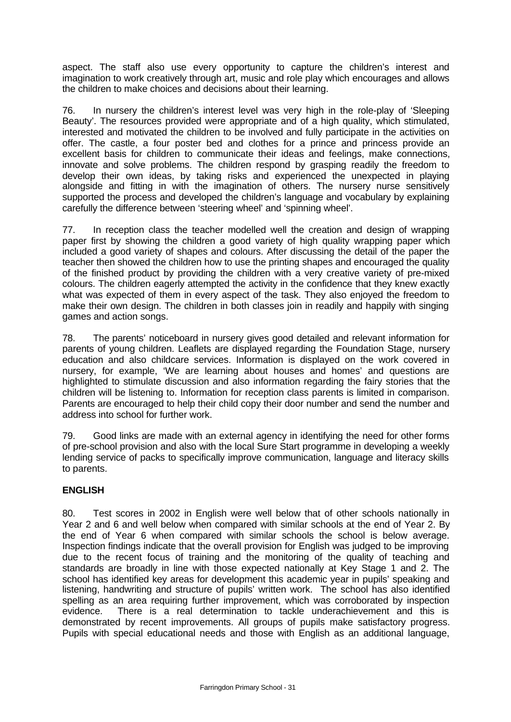aspect. The staff also use every opportunity to capture the children's interest and imagination to work creatively through art, music and role play which encourages and allows the children to make choices and decisions about their learning.

76. In nursery the children's interest level was very high in the role-play of 'Sleeping Beauty'. The resources provided were appropriate and of a high quality, which stimulated, interested and motivated the children to be involved and fully participate in the activities on offer. The castle, a four poster bed and clothes for a prince and princess provide an excellent basis for children to communicate their ideas and feelings, make connections, innovate and solve problems. The children respond by grasping readily the freedom to develop their own ideas, by taking risks and experienced the unexpected in playing alongside and fitting in with the imagination of others. The nursery nurse sensitively supported the process and developed the children's language and vocabulary by explaining carefully the difference between 'steering wheel' and 'spinning wheel'.

77. In reception class the teacher modelled well the creation and design of wrapping paper first by showing the children a good variety of high quality wrapping paper which included a good variety of shapes and colours. After discussing the detail of the paper the teacher then showed the children how to use the printing shapes and encouraged the quality of the finished product by providing the children with a very creative variety of pre-mixed colours. The children eagerly attempted the activity in the confidence that they knew exactly what was expected of them in every aspect of the task. They also enjoyed the freedom to make their own design. The children in both classes join in readily and happily with singing games and action songs.

78. The parents' noticeboard in nursery gives good detailed and relevant information for parents of young children. Leaflets are displayed regarding the Foundation Stage, nursery education and also childcare services. Information is displayed on the work covered in nursery, for example, 'We are learning about houses and homes' and questions are highlighted to stimulate discussion and also information regarding the fairy stories that the children will be listening to. Information for reception class parents is limited in comparison. Parents are encouraged to help their child copy their door number and send the number and address into school for further work.

79. Good links are made with an external agency in identifying the need for other forms of pre-school provision and also with the local Sure Start programme in developing a weekly lending service of packs to specifically improve communication, language and literacy skills to parents.

### **ENGLISH**

80. Test scores in 2002 in English were well below that of other schools nationally in Year 2 and 6 and well below when compared with similar schools at the end of Year 2. By the end of Year 6 when compared with similar schools the school is below average. Inspection findings indicate that the overall provision for English was judged to be improving due to the recent focus of training and the monitoring of the quality of teaching and standards are broadly in line with those expected nationally at Key Stage 1 and 2. The school has identified key areas for development this academic year in pupils' speaking and listening, handwriting and structure of pupils' written work. The school has also identified spelling as an area requiring further improvement, which was corroborated by inspection evidence. There is a real determination to tackle underachievement and this is demonstrated by recent improvements. All groups of pupils make satisfactory progress. Pupils with special educational needs and those with English as an additional language,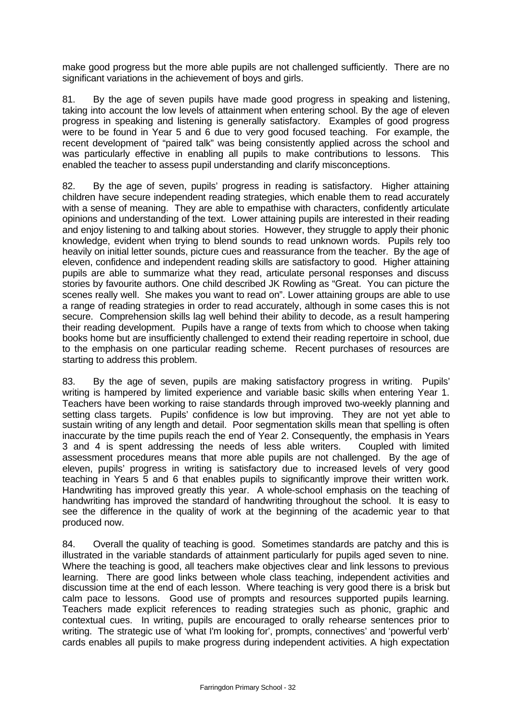make good progress but the more able pupils are not challenged sufficiently. There are no significant variations in the achievement of boys and girls.

81. By the age of seven pupils have made good progress in speaking and listening, taking into account the low levels of attainment when entering school. By the age of eleven progress in speaking and listening is generally satisfactory. Examples of good progress were to be found in Year 5 and 6 due to very good focused teaching. For example, the recent development of "paired talk" was being consistently applied across the school and was particularly effective in enabling all pupils to make contributions to lessons. This enabled the teacher to assess pupil understanding and clarify misconceptions.

82. By the age of seven, pupils' progress in reading is satisfactory. Higher attaining children have secure independent reading strategies, which enable them to read accurately with a sense of meaning. They are able to empathise with characters, confidently articulate opinions and understanding of the text. Lower attaining pupils are interested in their reading and enjoy listening to and talking about stories. However, they struggle to apply their phonic knowledge, evident when trying to blend sounds to read unknown words. Pupils rely too heavily on initial letter sounds, picture cues and reassurance from the teacher. By the age of eleven, confidence and independent reading skills are satisfactory to good. Higher attaining pupils are able to summarize what they read, articulate personal responses and discuss stories by favourite authors. One child described JK Rowling as "Great. You can picture the scenes really well. She makes you want to read on". Lower attaining groups are able to use a range of reading strategies in order to read accurately, although in some cases this is not secure. Comprehension skills lag well behind their ability to decode, as a result hampering their reading development. Pupils have a range of texts from which to choose when taking books home but are insufficiently challenged to extend their reading repertoire in school, due to the emphasis on one particular reading scheme. Recent purchases of resources are starting to address this problem.

83. By the age of seven, pupils are making satisfactory progress in writing. Pupils' writing is hampered by limited experience and variable basic skills when entering Year 1. Teachers have been working to raise standards through improved two-weekly planning and setting class targets. Pupils' confidence is low but improving. They are not yet able to sustain writing of any length and detail. Poor segmentation skills mean that spelling is often inaccurate by the time pupils reach the end of Year 2. Consequently, the emphasis in Years 3 and 4 is spent addressing the needs of less able writers. Coupled with limited assessment procedures means that more able pupils are not challenged. By the age of eleven, pupils' progress in writing is satisfactory due to increased levels of very good teaching in Years 5 and 6 that enables pupils to significantly improve their written work. Handwriting has improved greatly this year. A whole-school emphasis on the teaching of handwriting has improved the standard of handwriting throughout the school. It is easy to see the difference in the quality of work at the beginning of the academic year to that produced now.

84. Overall the quality of teaching is good. Sometimes standards are patchy and this is illustrated in the variable standards of attainment particularly for pupils aged seven to nine. Where the teaching is good, all teachers make objectives clear and link lessons to previous learning. There are good links between whole class teaching, independent activities and discussion time at the end of each lesson. Where teaching is very good there is a brisk but calm pace to lessons. Good use of prompts and resources supported pupils learning. Teachers made explicit references to reading strategies such as phonic, graphic and contextual cues. In writing, pupils are encouraged to orally rehearse sentences prior to writing. The strategic use of 'what I'm looking for', prompts, connectives' and 'powerful verb' cards enables all pupils to make progress during independent activities. A high expectation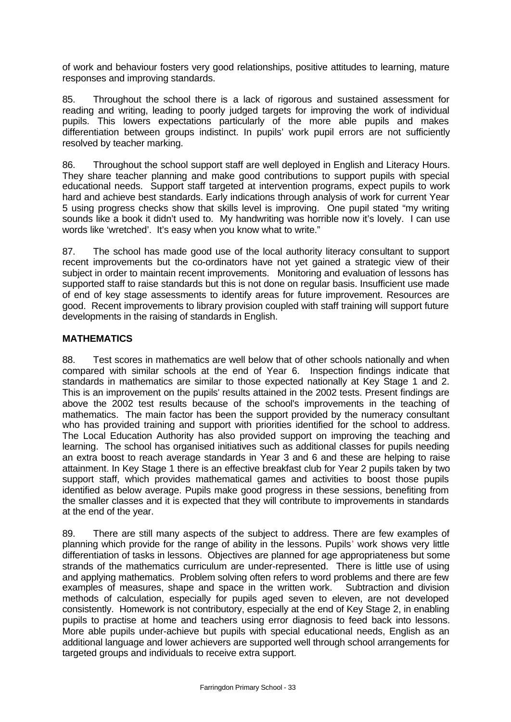of work and behaviour fosters very good relationships, positive attitudes to learning, mature responses and improving standards.

85. Throughout the school there is a lack of rigorous and sustained assessment for reading and writing, leading to poorly judged targets for improving the work of individual pupils. This lowers expectations particularly of the more able pupils and makes differentiation between groups indistinct. In pupils' work pupil errors are not sufficiently resolved by teacher marking.

86. Throughout the school support staff are well deployed in English and Literacy Hours. They share teacher planning and make good contributions to support pupils with special educational needs. Support staff targeted at intervention programs, expect pupils to work hard and achieve best standards. Early indications through analysis of work for current Year 5 using progress checks show that skills level is improving. One pupil stated "my writing sounds like a book it didn't used to. My handwriting was horrible now it's lovely. I can use words like 'wretched'. It's easy when you know what to write."

87. The school has made good use of the local authority literacy consultant to support recent improvements but the co-ordinators have not yet gained a strategic view of their subject in order to maintain recent improvements. Monitoring and evaluation of lessons has supported staff to raise standards but this is not done on regular basis. Insufficient use made of end of key stage assessments to identify areas for future improvement. Resources are good. Recent improvements to library provision coupled with staff training will support future developments in the raising of standards in English.

## **MATHEMATICS**

88. Test scores in mathematics are well below that of other schools nationally and when compared with similar schools at the end of Year 6. Inspection findings indicate that standards in mathematics are similar to those expected nationally at Key Stage 1 and 2. This is an improvement on the pupils' results attained in the 2002 tests. Present findings are above the 2002 test results because of the school's improvements in the teaching of mathematics. The main factor has been the support provided by the numeracy consultant who has provided training and support with priorities identified for the school to address. The Local Education Authority has also provided support on improving the teaching and learning. The school has organised initiatives such as additional classes for pupils needing an extra boost to reach average standards in Year 3 and 6 and these are helping to raise attainment. In Key Stage 1 there is an effective breakfast club for Year 2 pupils taken by two support staff, which provides mathematical games and activities to boost those pupils identified as below average. Pupils make good progress in these sessions, benefiting from the smaller classes and it is expected that they will contribute to improvements in standards at the end of the year.

89. There are still many aspects of the subject to address. There are few examples of planning which provide for the range of ability in the lessons. Pupils' work shows very little differentiation of tasks in lessons. Objectives are planned for age appropriateness but some strands of the mathematics curriculum are under-represented. There is little use of using and applying mathematics. Problem solving often refers to word problems and there are few examples of measures, shape and space in the written work. Subtraction and division methods of calculation, especially for pupils aged seven to eleven, are not developed consistently. Homework is not contributory, especially at the end of Key Stage 2, in enabling pupils to practise at home and teachers using error diagnosis to feed back into lessons. More able pupils under-achieve but pupils with special educational needs, English as an additional language and lower achievers are supported well through school arrangements for targeted groups and individuals to receive extra support.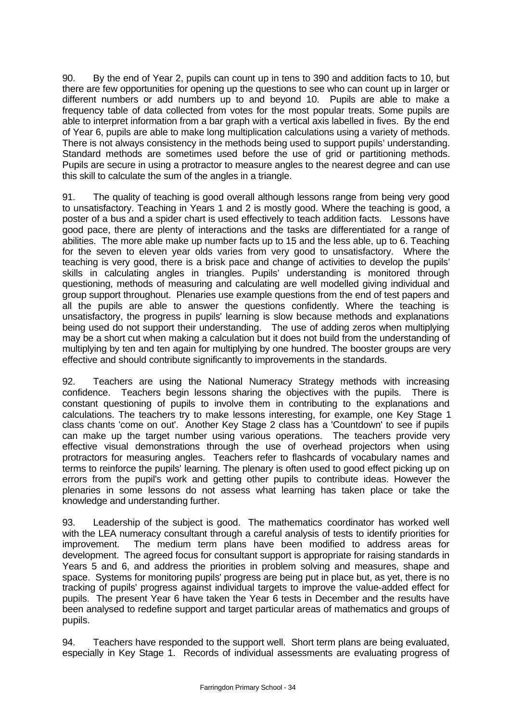90. By the end of Year 2, pupils can count up in tens to 390 and addition facts to 10, but there are few opportunities for opening up the questions to see who can count up in larger or different numbers or add numbers up to and beyond 10. Pupils are able to make a frequency table of data collected from votes for the most popular treats. Some pupils are able to interpret information from a bar graph with a vertical axis labelled in fives. By the end of Year 6, pupils are able to make long multiplication calculations using a variety of methods. There is not always consistency in the methods being used to support pupils' understanding. Standard methods are sometimes used before the use of grid or partitioning methods. Pupils are secure in using a protractor to measure angles to the nearest degree and can use this skill to calculate the sum of the angles in a triangle.

91. The quality of teaching is good overall although lessons range from being very good to unsatisfactory. Teaching in Years 1 and 2 is mostly good. Where the teaching is good, a poster of a bus and a spider chart is used effectively to teach addition facts. Lessons have good pace, there are plenty of interactions and the tasks are differentiated for a range of abilities. The more able make up number facts up to 15 and the less able, up to 6. Teaching for the seven to eleven year olds varies from very good to unsatisfactory. Where the teaching is very good, there is a brisk pace and change of activities to develop the pupils' skills in calculating angles in triangles. Pupils' understanding is monitored through questioning, methods of measuring and calculating are well modelled giving individual and group support throughout. Plenaries use example questions from the end of test papers and all the pupils are able to answer the questions confidently. Where the teaching is unsatisfactory, the progress in pupils' learning is slow because methods and explanations being used do not support their understanding. The use of adding zeros when multiplying may be a short cut when making a calculation but it does not build from the understanding of multiplying by ten and ten again for multiplying by one hundred. The booster groups are very effective and should contribute significantly to improvements in the standards.

92. Teachers are using the National Numeracy Strategy methods with increasing confidence. Teachers begin lessons sharing the objectives with the pupils. There is constant questioning of pupils to involve them in contributing to the explanations and calculations. The teachers try to make lessons interesting, for example, one Key Stage 1 class chants 'come on out'. Another Key Stage 2 class has a 'Countdown' to see if pupils can make up the target number using various operations. The teachers provide very effective visual demonstrations through the use of overhead projectors when using protractors for measuring angles. Teachers refer to flashcards of vocabulary names and terms to reinforce the pupils' learning. The plenary is often used to good effect picking up on errors from the pupil's work and getting other pupils to contribute ideas. However the plenaries in some lessons do not assess what learning has taken place or take the knowledge and understanding further.

93. Leadership of the subject is good. The mathematics coordinator has worked well with the LEA numeracy consultant through a careful analysis of tests to identify priorities for improvement. The medium term plans have been modified to address areas for development. The agreed focus for consultant support is appropriate for raising standards in Years 5 and 6, and address the priorities in problem solving and measures, shape and space. Systems for monitoring pupils' progress are being put in place but, as yet, there is no tracking of pupils' progress against individual targets to improve the value-added effect for pupils. The present Year 6 have taken the Year 6 tests in December and the results have been analysed to redefine support and target particular areas of mathematics and groups of pupils.

94. Teachers have responded to the support well. Short term plans are being evaluated, especially in Key Stage 1. Records of individual assessments are evaluating progress of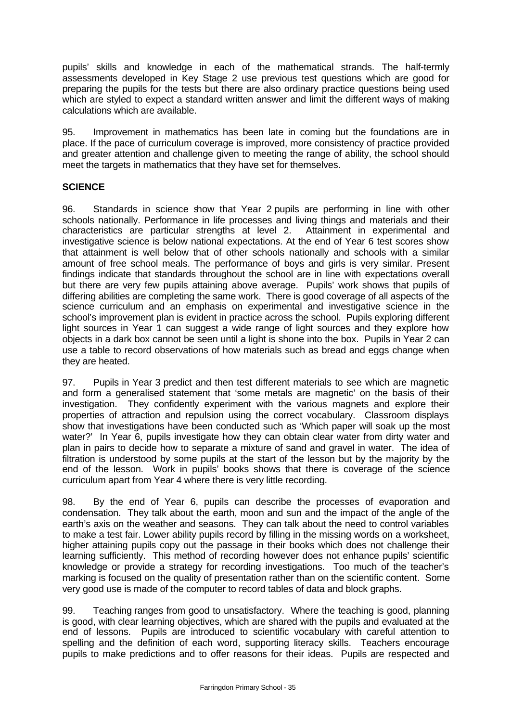pupils' skills and knowledge in each of the mathematical strands. The half-termly assessments developed in Key Stage 2 use previous test questions which are good for preparing the pupils for the tests but there are also ordinary practice questions being used which are styled to expect a standard written answer and limit the different ways of making calculations which are available.

95. Improvement in mathematics has been late in coming but the foundations are in place. If the pace of curriculum coverage is improved, more consistency of practice provided and greater attention and challenge given to meeting the range of ability, the school should meet the targets in mathematics that they have set for themselves.

### **SCIENCE**

96. Standards in science show that Year 2 pupils are performing in line with other schools nationally. Performance in life processes and living things and materials and their characteristics are particular strengths at level 2. Attainment in experimental and investigative science is below national expectations. At the end of Year 6 test scores show that attainment is well below that of other schools nationally and schools with a similar amount of free school meals. The performance of boys and girls is very similar. Present findings indicate that standards throughout the school are in line with expectations overall but there are very few pupils attaining above average. Pupils' work shows that pupils of differing abilities are completing the same work. There is good coverage of all aspects of the science curriculum and an emphasis on experimental and investigative science in the school's improvement plan is evident in practice across the school. Pupils exploring different light sources in Year 1 can suggest a wide range of light sources and they explore how objects in a dark box cannot be seen until a light is shone into the box. Pupils in Year 2 can use a table to record observations of how materials such as bread and eggs change when they are heated.

97. Pupils in Year 3 predict and then test different materials to see which are magnetic and form a generalised statement that 'some metals are magnetic' on the basis of their investigation. They confidently experiment with the various magnets and explore their properties of attraction and repulsion using the correct vocabulary. Classroom displays show that investigations have been conducted such as 'Which paper will soak up the most water?' In Year 6, pupils investigate how they can obtain clear water from dirty water and plan in pairs to decide how to separate a mixture of sand and gravel in water. The idea of filtration is understood by some pupils at the start of the lesson but by the majority by the end of the lesson. Work in pupils' books shows that there is coverage of the science curriculum apart from Year 4 where there is very little recording.

98. By the end of Year 6, pupils can describe the processes of evaporation and condensation. They talk about the earth, moon and sun and the impact of the angle of the earth's axis on the weather and seasons. They can talk about the need to control variables to make a test fair. Lower ability pupils record by filling in the missing words on a worksheet, higher attaining pupils copy out the passage in their books which does not challenge their learning sufficiently. This method of recording however does not enhance pupils' scientific knowledge or provide a strategy for recording investigations. Too much of the teacher's marking is focused on the quality of presentation rather than on the scientific content. Some very good use is made of the computer to record tables of data and block graphs.

99. Teaching ranges from good to unsatisfactory. Where the teaching is good, planning is good, with clear learning objectives, which are shared with the pupils and evaluated at the end of lessons. Pupils are introduced to scientific vocabulary with careful attention to spelling and the definition of each word, supporting literacy skills. Teachers encourage pupils to make predictions and to offer reasons for their ideas. Pupils are respected and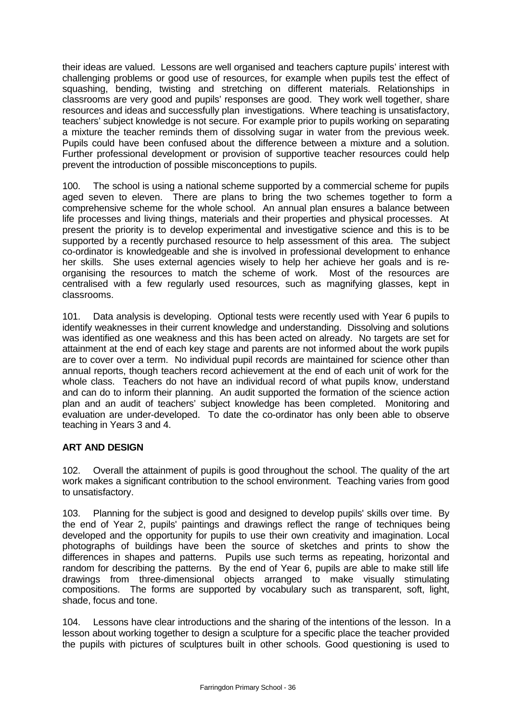their ideas are valued. Lessons are well organised and teachers capture pupils' interest with challenging problems or good use of resources, for example when pupils test the effect of squashing, bending, twisting and stretching on different materials. Relationships in classrooms are very good and pupils' responses are good. They work well together, share resources and ideas and successfully plan investigations. Where teaching is unsatisfactory, teachers' subject knowledge is not secure. For example prior to pupils working on separating a mixture the teacher reminds them of dissolving sugar in water from the previous week. Pupils could have been confused about the difference between a mixture and a solution. Further professional development or provision of supportive teacher resources could help prevent the introduction of possible misconceptions to pupils.

100. The school is using a national scheme supported by a commercial scheme for pupils aged seven to eleven. There are plans to bring the two schemes together to form a comprehensive scheme for the whole school. An annual plan ensures a balance between life processes and living things, materials and their properties and physical processes. At present the priority is to develop experimental and investigative science and this is to be supported by a recently purchased resource to help assessment of this area. The subject co-ordinator is knowledgeable and she is involved in professional development to enhance her skills. She uses external agencies wisely to help her achieve her goals and is reorganising the resources to match the scheme of work. Most of the resources are centralised with a few regularly used resources, such as magnifying glasses, kept in classrooms.

101. Data analysis is developing. Optional tests were recently used with Year 6 pupils to identify weaknesses in their current knowledge and understanding. Dissolving and solutions was identified as one weakness and this has been acted on already. No targets are set for attainment at the end of each key stage and parents are not informed about the work pupils are to cover over a term. No individual pupil records are maintained for science other than annual reports, though teachers record achievement at the end of each unit of work for the whole class. Teachers do not have an individual record of what pupils know, understand and can do to inform their planning. An audit supported the formation of the science action plan and an audit of teachers' subject knowledge has been completed. Monitoring and evaluation are under-developed. To date the co-ordinator has only been able to observe teaching in Years 3 and 4.

# **ART AND DESIGN**

102. Overall the attainment of pupils is good throughout the school. The quality of the art work makes a significant contribution to the school environment. Teaching varies from good to unsatisfactory.

103. Planning for the subject is good and designed to develop pupils' skills over time. By the end of Year 2, pupils' paintings and drawings reflect the range of techniques being developed and the opportunity for pupils to use their own creativity and imagination. Local photographs of buildings have been the source of sketches and prints to show the differences in shapes and patterns. Pupils use such terms as repeating, horizontal and random for describing the patterns. By the end of Year 6, pupils are able to make still life drawings from three-dimensional objects arranged to make visually stimulating compositions. The forms are supported by vocabulary such as transparent, soft, light, shade, focus and tone.

104. Lessons have clear introductions and the sharing of the intentions of the lesson. In a lesson about working together to design a sculpture for a specific place the teacher provided the pupils with pictures of sculptures built in other schools. Good questioning is used to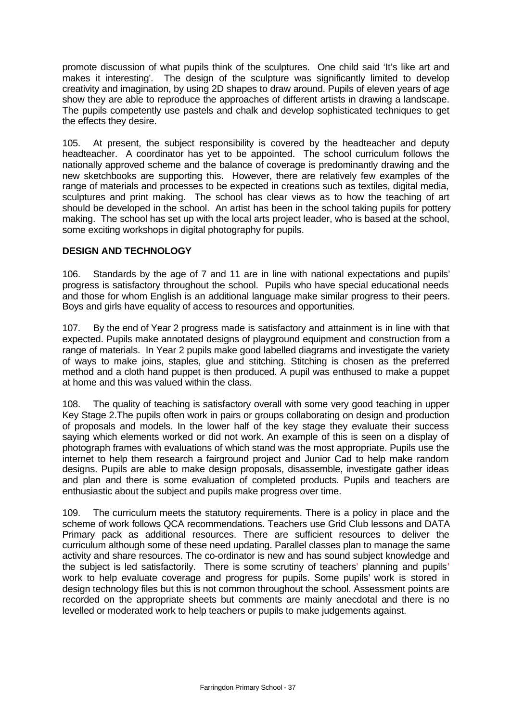promote discussion of what pupils think of the sculptures. One child said 'It's like art and makes it interesting'. The design of the sculpture was significantly limited to develop creativity and imagination, by using 2D shapes to draw around. Pupils of eleven years of age show they are able to reproduce the approaches of different artists in drawing a landscape. The pupils competently use pastels and chalk and develop sophisticated techniques to get the effects they desire.

105. At present, the subject responsibility is covered by the headteacher and deputy headteacher. A coordinator has yet to be appointed. The school curriculum follows the nationally approved scheme and the balance of coverage is predominantly drawing and the new sketchbooks are supporting this. However, there are relatively few examples of the range of materials and processes to be expected in creations such as textiles, digital media, sculptures and print making. The school has clear views as to how the teaching of art should be developed in the school. An artist has been in the school taking pupils for pottery making. The school has set up with the local arts project leader, who is based at the school, some exciting workshops in digital photography for pupils.

# **DESIGN AND TECHNOLOGY**

106. Standards by the age of 7 and 11 are in line with national expectations and pupils' progress is satisfactory throughout the school. Pupils who have special educational needs and those for whom English is an additional language make similar progress to their peers. Boys and girls have equality of access to resources and opportunities.

107. By the end of Year 2 progress made is satisfactory and attainment is in line with that expected. Pupils make annotated designs of playground equipment and construction from a range of materials. In Year 2 pupils make good labelled diagrams and investigate the variety of ways to make joins, staples, glue and stitching. Stitching is chosen as the preferred method and a cloth hand puppet is then produced. A pupil was enthused to make a puppet at home and this was valued within the class.

108. The quality of teaching is satisfactory overall with some very good teaching in upper Key Stage 2.The pupils often work in pairs or groups collaborating on design and production of proposals and models. In the lower half of the key stage they evaluate their success saying which elements worked or did not work. An example of this is seen on a display of photograph frames with evaluations of which stand was the most appropriate. Pupils use the internet to help them research a fairground project and Junior Cad to help make random designs. Pupils are able to make design proposals, disassemble, investigate gather ideas and plan and there is some evaluation of completed products. Pupils and teachers are enthusiastic about the subject and pupils make progress over time.

109. The curriculum meets the statutory requirements. There is a policy in place and the scheme of work follows QCA recommendations. Teachers use Grid Club lessons and DATA Primary pack as additional resources. There are sufficient resources to deliver the curriculum although some of these need updating. Parallel classes plan to manage the same activity and share resources. The co-ordinator is new and has sound subject knowledge and the subject is led satisfactorily. There is some scrutiny of teachers' planning and pupils' work to help evaluate coverage and progress for pupils. Some pupils' work is stored in design technology files but this is not common throughout the school. Assessment points are recorded on the appropriate sheets but comments are mainly anecdotal and there is no levelled or moderated work to help teachers or pupils to make judgements against.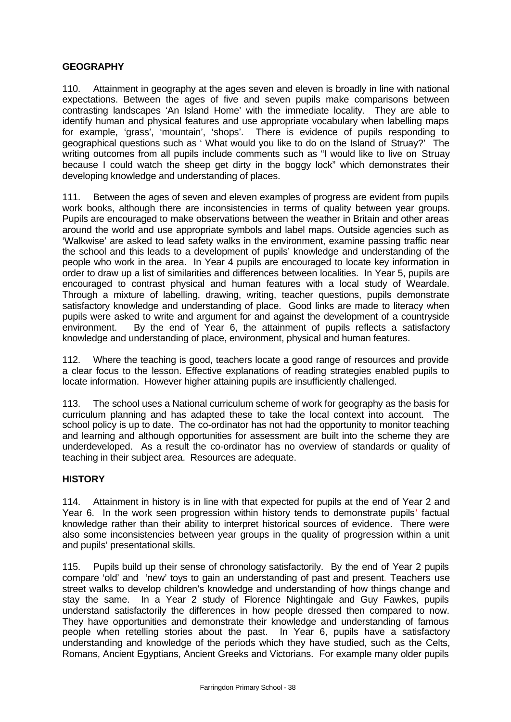## **GEOGRAPHY**

110. Attainment in geography at the ages seven and eleven is broadly in line with national expectations. Between the ages of five and seven pupils make comparisons between contrasting landscapes 'An Island Home' with the immediate locality. They are able to identify human and physical features and use appropriate vocabulary when labelling maps for example, 'grass', 'mountain', 'shops'. There is evidence of pupils responding to geographical questions such as ' What would you like to do on the Island of Struay?' The writing outcomes from all pupils include comments such as "I would like to live on Struay because I could watch the sheep get dirty in the boggy lock" which demonstrates their developing knowledge and understanding of places.

111. Between the ages of seven and eleven examples of progress are evident from pupils work books, although there are inconsistencies in terms of quality between year groups. Pupils are encouraged to make observations between the weather in Britain and other areas around the world and use appropriate symbols and label maps. Outside agencies such as 'Walkwise' are asked to lead safety walks in the environment, examine passing traffic near the school and this leads to a development of pupils' knowledge and understanding of the people who work in the area. In Year 4 pupils are encouraged to locate key information in order to draw up a list of similarities and differences between localities. In Year 5, pupils are encouraged to contrast physical and human features with a local study of Weardale. Through a mixture of labelling, drawing, writing, teacher questions, pupils demonstrate satisfactory knowledge and understanding of place. Good links are made to literacy when pupils were asked to write and argument for and against the development of a countryside environment. By the end of Year 6, the attainment of pupils reflects a satisfactory knowledge and understanding of place, environment, physical and human features.

112. Where the teaching is good, teachers locate a good range of resources and provide a clear focus to the lesson. Effective explanations of reading strategies enabled pupils to locate information. However higher attaining pupils are insufficiently challenged.

113. The school uses a National curriculum scheme of work for geography as the basis for curriculum planning and has adapted these to take the local context into account. The school policy is up to date. The co-ordinator has not had the opportunity to monitor teaching and learning and although opportunities for assessment are built into the scheme they are underdeveloped. As a result the co-ordinator has no overview of standards or quality of teaching in their subject area. Resources are adequate.

### **HISTORY**

114. Attainment in history is in line with that expected for pupils at the end of Year 2 and Year 6. In the work seen progression within history tends to demonstrate pupils' factual knowledge rather than their ability to interpret historical sources of evidence. There were also some inconsistencies between year groups in the quality of progression within a unit and pupils' presentational skills.

115. Pupils build up their sense of chronology satisfactorily. By the end of Year 2 pupils compare 'old' and 'new' toys to gain an understanding of past and present. Teachers use street walks to develop children's knowledge and understanding of how things change and stay the same. In a Year 2 study of Florence Nightingale and Guy Fawkes, pupils understand satisfactorily the differences in how people dressed then compared to now. They have opportunities and demonstrate their knowledge and understanding of famous people when retelling stories about the past. In Year 6, pupils have a satisfactory understanding and knowledge of the periods which they have studied, such as the Celts, Romans, Ancient Egyptians, Ancient Greeks and Victorians. For example many older pupils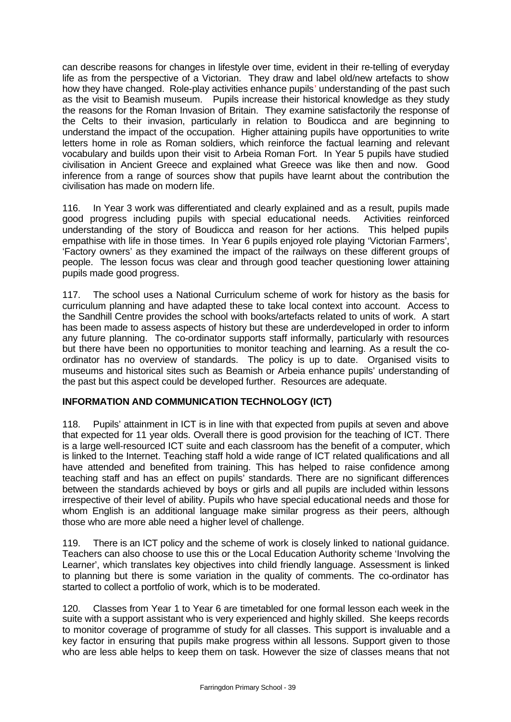can describe reasons for changes in lifestyle over time, evident in their re-telling of everyday life as from the perspective of a Victorian. They draw and label old/new artefacts to show how they have changed. Role-play activities enhance pupils' understanding of the past such as the visit to Beamish museum. Pupils increase their historical knowledge as they study the reasons for the Roman Invasion of Britain. They examine satisfactorily the response of the Celts to their invasion, particularly in relation to Boudicca and are beginning to understand the impact of the occupation. Higher attaining pupils have opportunities to write letters home in role as Roman soldiers, which reinforce the factual learning and relevant vocabulary and builds upon their visit to Arbeia Roman Fort. In Year 5 pupils have studied civilisation in Ancient Greece and explained what Greece was like then and now. Good inference from a range of sources show that pupils have learnt about the contribution the civilisation has made on modern life.

116. In Year 3 work was differentiated and clearly explained and as a result, pupils made good progress including pupils with special educational needs. Activities reinforced understanding of the story of Boudicca and reason for her actions. This helped pupils empathise with life in those times. In Year 6 pupils enjoyed role playing 'Victorian Farmers', 'Factory owners' as they examined the impact of the railways on these different groups of people. The lesson focus was clear and through good teacher questioning lower attaining pupils made good progress.

117. The school uses a National Curriculum scheme of work for history as the basis for curriculum planning and have adapted these to take local context into account. Access to the Sandhill Centre provides the school with books/artefacts related to units of work. A start has been made to assess aspects of history but these are underdeveloped in order to inform any future planning. The co-ordinator supports staff informally, particularly with resources but there have been no opportunities to monitor teaching and learning. As a result the coordinator has no overview of standards. The policy is up to date. Organised visits to museums and historical sites such as Beamish or Arbeia enhance pupils' understanding of the past but this aspect could be developed further. Resources are adequate.

# **INFORMATION AND COMMUNICATION TECHNOLOGY (ICT)**

118. Pupils' attainment in ICT is in line with that expected from pupils at seven and above that expected for 11 year olds. Overall there is good provision for the teaching of ICT. There is a large well-resourced ICT suite and each classroom has the benefit of a computer, which is linked to the Internet. Teaching staff hold a wide range of ICT related qualifications and all have attended and benefited from training. This has helped to raise confidence among teaching staff and has an effect on pupils' standards. There are no significant differences between the standards achieved by boys or girls and all pupils are included within lessons irrespective of their level of ability. Pupils who have special educational needs and those for whom English is an additional language make similar progress as their peers, although those who are more able need a higher level of challenge.

119. There is an ICT policy and the scheme of work is closely linked to national guidance. Teachers can also choose to use this or the Local Education Authority scheme 'Involving the Learner', which translates key objectives into child friendly language. Assessment is linked to planning but there is some variation in the quality of comments. The co-ordinator has started to collect a portfolio of work, which is to be moderated.

120. Classes from Year 1 to Year 6 are timetabled for one formal lesson each week in the suite with a support assistant who is very experienced and highly skilled. She keeps records to monitor coverage of programme of study for all classes. This support is invaluable and a key factor in ensuring that pupils make progress within all lessons. Support given to those who are less able helps to keep them on task. However the size of classes means that not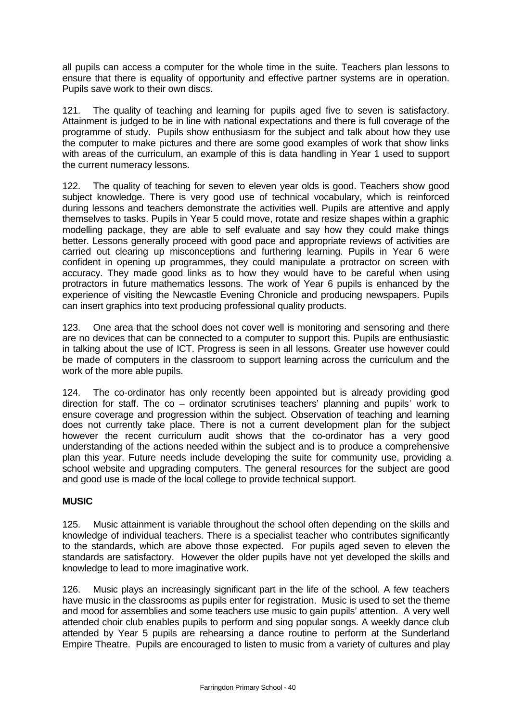all pupils can access a computer for the whole time in the suite. Teachers plan lessons to ensure that there is equality of opportunity and effective partner systems are in operation. Pupils save work to their own discs.

121. The quality of teaching and learning for pupils aged five to seven is satisfactory. Attainment is judged to be in line with national expectations and there is full coverage of the programme of study. Pupils show enthusiasm for the subject and talk about how they use the computer to make pictures and there are some good examples of work that show links with areas of the curriculum, an example of this is data handling in Year 1 used to support the current numeracy lessons.

122. The quality of teaching for seven to eleven year olds is good. Teachers show good subject knowledge. There is very good use of technical vocabulary, which is reinforced during lessons and teachers demonstrate the activities well. Pupils are attentive and apply themselves to tasks. Pupils in Year 5 could move, rotate and resize shapes within a graphic modelling package, they are able to self evaluate and say how they could make things better. Lessons generally proceed with good pace and appropriate reviews of activities are carried out clearing up misconceptions and furthering learning. Pupils in Year 6 were confident in opening up programmes, they could manipulate a protractor on screen with accuracy. They made good links as to how they would have to be careful when using protractors in future mathematics lessons. The work of Year 6 pupils is enhanced by the experience of visiting the Newcastle Evening Chronicle and producing newspapers. Pupils can insert graphics into text producing professional quality products.

123. One area that the school does not cover well is monitoring and sensoring and there are no devices that can be connected to a computer to support this. Pupils are enthusiastic in talking about the use of ICT. Progress is seen in all lessons. Greater use however could be made of computers in the classroom to support learning across the curriculum and the work of the more able pupils.

124. The co-ordinator has only recently been appointed but is already providing good direction for staff. The co – ordinator scrutinises teachers' planning and pupils' work to ensure coverage and progression within the subject. Observation of teaching and learning does not currently take place. There is not a current development plan for the subject however the recent curriculum audit shows that the co-ordinator has a very good understanding of the actions needed within the subject and is to produce a comprehensive plan this year. Future needs include developing the suite for community use, providing a school website and upgrading computers. The general resources for the subject are good and good use is made of the local college to provide technical support.

# **MUSIC**

125. Music attainment is variable throughout the school often depending on the skills and knowledge of individual teachers. There is a specialist teacher who contributes significantly to the standards, which are above those expected. For pupils aged seven to eleven the standards are satisfactory. However the older pupils have not yet developed the skills and knowledge to lead to more imaginative work.

126. Music plays an increasingly significant part in the life of the school. A few teachers have music in the classrooms as pupils enter for registration. Music is used to set the theme and mood for assemblies and some teachers use music to gain pupils' attention. A very well attended choir club enables pupils to perform and sing popular songs. A weekly dance club attended by Year 5 pupils are rehearsing a dance routine to perform at the Sunderland Empire Theatre. Pupils are encouraged to listen to music from a variety of cultures and play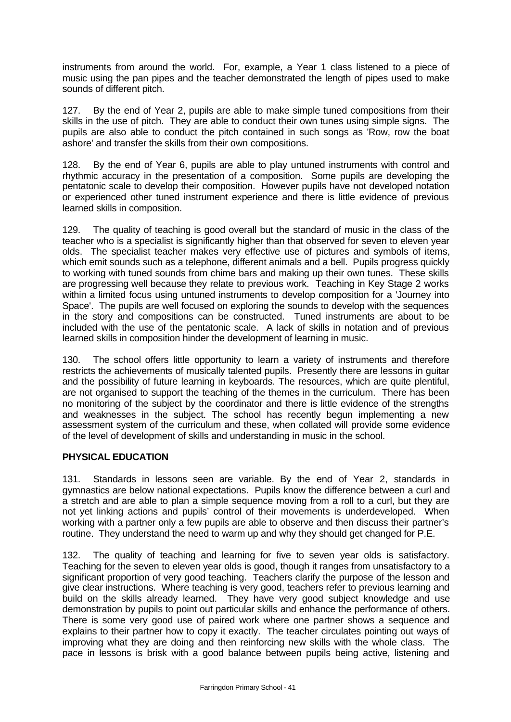instruments from around the world. For, example, a Year 1 class listened to a piece of music using the pan pipes and the teacher demonstrated the length of pipes used to make sounds of different pitch.

127. By the end of Year 2, pupils are able to make simple tuned compositions from their skills in the use of pitch. They are able to conduct their own tunes using simple signs. The pupils are also able to conduct the pitch contained in such songs as 'Row, row the boat ashore' and transfer the skills from their own compositions.

128. By the end of Year 6, pupils are able to play untuned instruments with control and rhythmic accuracy in the presentation of a composition. Some pupils are developing the pentatonic scale to develop their composition. However pupils have not developed notation or experienced other tuned instrument experience and there is little evidence of previous learned skills in composition.

129. The quality of teaching is good overall but the standard of music in the class of the teacher who is a specialist is significantly higher than that observed for seven to eleven year olds. The specialist teacher makes very effective use of pictures and symbols of items, which emit sounds such as a telephone, different animals and a bell. Pupils progress quickly to working with tuned sounds from chime bars and making up their own tunes. These skills are progressing well because they relate to previous work. Teaching in Key Stage 2 works within a limited focus using untuned instruments to develop composition for a 'Journey into Space'. The pupils are well focused on exploring the sounds to develop with the sequences in the story and compositions can be constructed. Tuned instruments are about to be included with the use of the pentatonic scale. A lack of skills in notation and of previous learned skills in composition hinder the development of learning in music.

130. The school offers little opportunity to learn a variety of instruments and therefore restricts the achievements of musically talented pupils. Presently there are lessons in guitar and the possibility of future learning in keyboards. The resources, which are quite plentiful, are not organised to support the teaching of the themes in the curriculum. There has been no monitoring of the subject by the coordinator and there is little evidence of the strengths and weaknesses in the subject. The school has recently begun implementing a new assessment system of the curriculum and these, when collated will provide some evidence of the level of development of skills and understanding in music in the school.

# **PHYSICAL EDUCATION**

131. Standards in lessons seen are variable. By the end of Year 2, standards in gymnastics are below national expectations. Pupils know the difference between a curl and a stretch and are able to plan a simple sequence moving from a roll to a curl, but they are not yet linking actions and pupils' control of their movements is underdeveloped. When working with a partner only a few pupils are able to observe and then discuss their partner's routine. They understand the need to warm up and why they should get changed for P.E.

132. The quality of teaching and learning for five to seven year olds is satisfactory. Teaching for the seven to eleven year olds is good, though it ranges from unsatisfactory to a significant proportion of very good teaching. Teachers clarify the purpose of the lesson and give clear instructions. Where teaching is very good, teachers refer to previous learning and build on the skills already learned. They have very good subject knowledge and use demonstration by pupils to point out particular skills and enhance the performance of others. There is some very good use of paired work where one partner shows a sequence and explains to their partner how to copy it exactly. The teacher circulates pointing out ways of improving what they are doing and then reinforcing new skills with the whole class. The pace in lessons is brisk with a good balance between pupils being active, listening and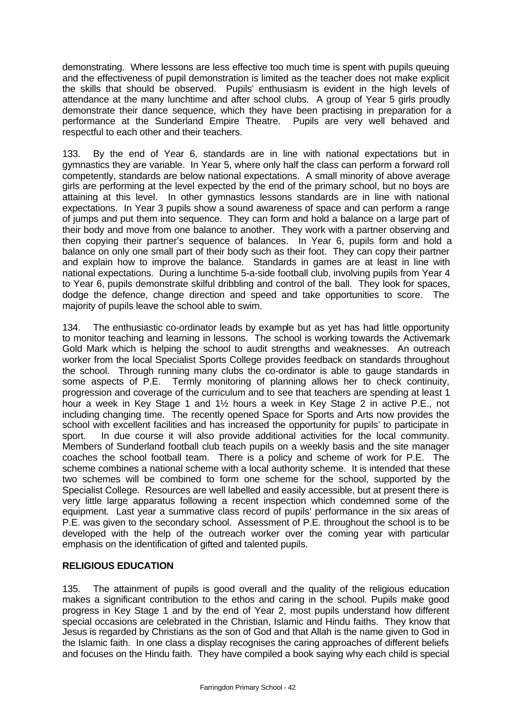demonstrating. Where lessons are less effective too much time is spent with pupils queuing and the effectiveness of pupil demonstration is limited as the teacher does not make explicit the skills that should be observed. Pupils' enthusiasm is evident in the high levels of attendance at the many lunchtime and after school clubs. A group of Year 5 girls proudly demonstrate their dance sequence, which they have been practising in preparation for a performance at the Sunderland Empire Theatre. Pupils are very well behaved and respectful to each other and their teachers.

133. By the end of Year 6, standards are in line with national expectations but in gymnastics they are variable. In Year 5, where only half the class can perform a forward roll competently, standards are below national expectations. A small minority of above average girls are performing at the level expected by the end of the primary school, but no boys are attaining at this level. In other gymnastics lessons standards are in line with national expectations. In Year 3 pupils show a sound awareness of space and can perform a range of jumps and put them into sequence. They can form and hold a balance on a large part of their body and move from one balance to another. They work with a partner observing and then copying their partner's sequence of balances. In Year 6, pupils form and hold a balance on only one small part of their body such as their foot. They can copy their partner and explain how to improve the balance. Standards in games are at least in line with national expectations. During a lunchtime 5-a-side football club, involving pupils from Year 4 to Year 6, pupils demonstrate skilful dribbling and control of the ball. They look for spaces, dodge the defence, change direction and speed and take opportunities to score. The majority of pupils leave the school able to swim.

134. The enthusiastic co-ordinator leads by example but as yet has had little opportunity to monitor teaching and learning in lessons. The school is working towards the Activemark Gold Mark which is helping the school to audit strengths and weaknesses. An outreach worker from the local Specialist Sports College provides feedback on standards throughout the school. Through running many clubs the co-ordinator is able to gauge standards in some aspects of P.E. Termly monitoring of planning allows her to check continuity, progression and coverage of the curriculum and to see that teachers are spending at least 1 hour a week in Key Stage 1 and 1½ hours a week in Key Stage 2 in active P.E., not including changing time. The recently opened Space for Sports and Arts now provides the school with excellent facilities and has increased the opportunity for pupils' to participate in sport. In due course it will also provide additional activities for the local community. Members of Sunderland football club teach pupils on a weekly basis and the site manager coaches the school football team. There is a policy and scheme of work for P.E. The scheme combines a national scheme with a local authority scheme. It is intended that these two schemes will be combined to form one scheme for the school, supported by the Specialist College. Resources are well labelled and easily accessible, but at present there is very little large apparatus following a recent inspection which condemned some of the equipment. Last year a summative class record of pupils' performance in the six areas of P.E. was given to the secondary school. Assessment of P.E. throughout the school is to be developed with the help of the outreach worker over the coming year with particular emphasis on the identification of gifted and talented pupils.

### **RELIGIOUS EDUCATION**

135. The attainment of pupils is good overall and the quality of the religious education makes a significant contribution to the ethos and caring in the school. Pupils make good progress in Key Stage 1 and by the end of Year 2, most pupils understand how different special occasions are celebrated in the Christian, Islamic and Hindu faiths. They know that Jesus is regarded by Christians as the son of God and that Allah is the name given to God in the Islamic faith. In one class a display recognises the caring approaches of different beliefs and focuses on the Hindu faith. They have compiled a book saying why each child is special